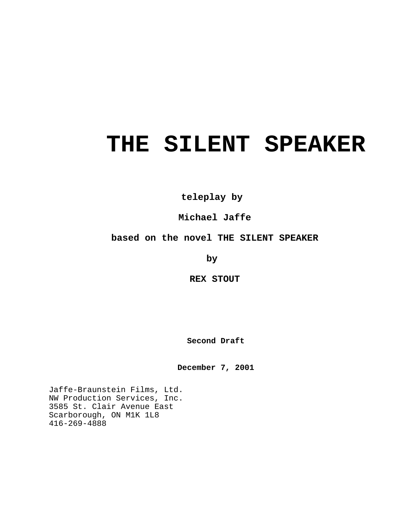# **THE SILENT SPEAKER**

**teleplay by** 

**Michael Jaffe**

# **based on the novel THE SILENT SPEAKER**

**by** 

**REX STOUT**

**Second Draft**

**December 7, 2001**

Jaffe-Braunstein Films, Ltd. NW Production Services, Inc. 3585 St. Clair Avenue East Scarborough, ON M1K 1L8 416-269-4888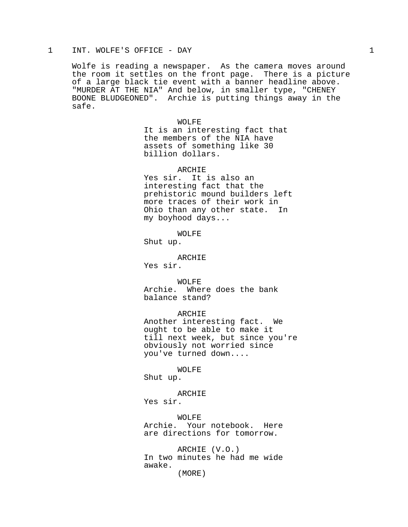### 1 INT. WOLFE'S OFFICE - DAY 1

Wolfe is reading a newspaper. As the camera moves around the room it settles on the front page. There is a picture of a large black tie event with a banner headline above. "MURDER AT THE NIA" And below, in smaller type, "CHENEY BOONE BLUDGEONED". Archie is putting things away in the safe.

> WOLFE It is an interesting fact that the members of the NIA have assets of something like 30 billion dollars.

ARCHIE Yes sir. It is also an interesting fact that the prehistoric mound builders left more traces of their work in Ohio than any other state. In my boyhood days...

WOLFE

Shut up.

ARCHIE Yes sir.

WOLFE Archie. Where does the bank balance stand?

ARCHIE Another interesting fact. We ought to be able to make it till next week, but since you're obviously not worried since you've turned down....

WOLFE

Shut up.

ARCHIE Yes sir.

WOLFE Archie. Your notebook. Here are directions for tomorrow.

ARCHIE (V.O.) In two minutes he had me wide awake.

(MORE)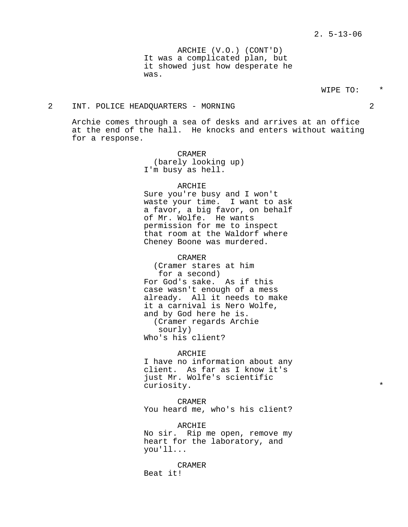ARCHIE (V.O.) (CONT'D) It was a complicated plan, but it showed just how desperate he was.

# WIPE TO:

# 2 INT. POLICE HEADQUARTERS - MORNING 2

Archie comes through a sea of desks and arrives at an office at the end of the hall. He knocks and enters without waiting for a response.

> CRAMER (barely looking up) I'm busy as hell.

# ARCHIE

Sure you're busy and I won't waste your time. I want to ask a favor, a big favor, on behalf of Mr. Wolfe. He wants permission for me to inspect that room at the Waldorf where Cheney Boone was murdered.

CRAMER

(Cramer stares at him for a second) For God's sake. As if this case wasn't enough of a mess already. All it needs to make it a carnival is Nero Wolfe, and by God here he is. (Cramer regards Archie sourly) Who's his client?

ARCHIE I have no information about any client. As far as I know it's just Mr. Wolfe's scientific curiosity.  $*$ 

CRAMER You heard me, who's his client?

ARCHIE No sir. Rip me open, remove my heart for the laboratory, and you'll...

CRAMER Beat it!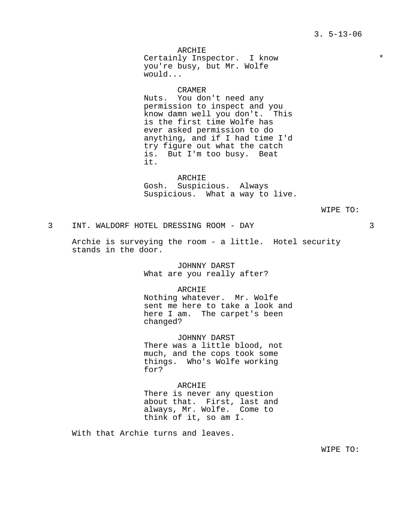ARCHIE Certainly Inspector. I know  $*$ you're busy, but Mr. Wolfe would...

CRAMER

Nuts. You don't need any permission to inspect and you know damn well you don't. This is the first time Wolfe has ever asked permission to do anything, and if I had time I'd try figure out what the catch is. But I'm too busy. Beat it.

ARCHIE Gosh. Suspicious. Always Suspicious. What a way to live.

WIPE TO:

3 INT. WALDORF HOTEL DRESSING ROOM - DAY 3

Archie is surveying the room - a little. Hotel security stands in the door.

> JOHNNY DARST What are you really after?

ARCHIE Nothing whatever. Mr. Wolfe sent me here to take a look and here I am. The carpet's been changed?

JOHNNY DARST There was a little blood, not much, and the cops took some things. Who's Wolfe working for?

ARCHIE There is never any question about that. First, last and always, Mr. Wolfe. Come to think of it, so am I.

With that Archie turns and leaves.

WIPE TO: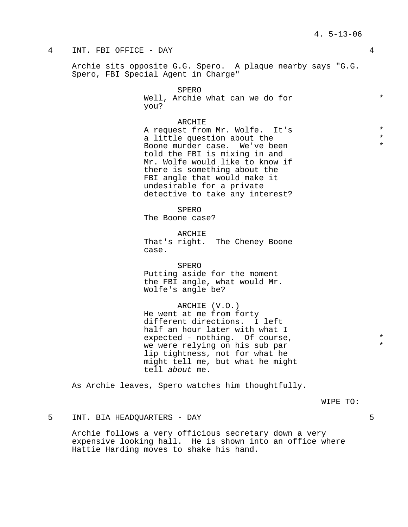# 4 INT. FBI OFFICE - DAY 4

Archie sits opposite G.G. Spero. A plaque nearby says "G.G. Spero, FBI Special Agent in Charge"

> SPERO Well, Archie what can we do for  $*$ you?

#### ARCHIE

A request from Mr. Wolfe. It's  $*$ <br>a little question about the  $*$ a little question about the Boone murder case. We've been told the FBI is mixing in and Mr. Wolfe would like to know if there is something about the FBI angle that would make it undesirable for a private detective to take any interest?

SPERO The Boone case?

ARCHIE That's right. The Cheney Boone case.

SPERO Putting aside for the moment the FBI angle, what would Mr. Wolfe's angle be?

ARCHIE (V.O.) He went at me from forty different directions. I left half an hour later with what I expected - nothing. Of course,  $*$ we were relying on his sub par \* lip tightness, not for what he might tell me, but what he might tell about me.

As Archie leaves, Spero watches him thoughtfully.

WIPE TO:

5 INT. BIA HEADQUARTERS - DAY 5

Archie follows a very officious secretary down a very expensive looking hall. He is shown into an office where Hattie Harding moves to shake his hand.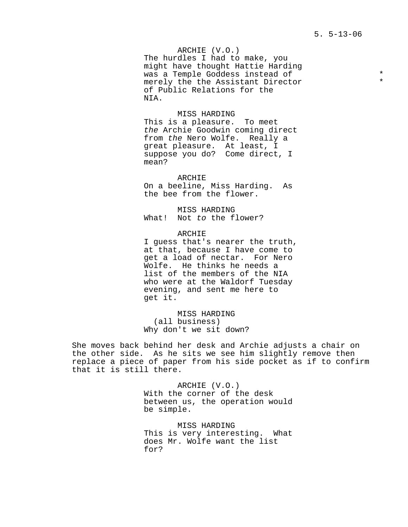ARCHIE (V.O.) The hurdles I had to make, you might have thought Hattie Harding was a Temple Goddess instead of  $*$ <br>morely the the Assistant Director merely the the Assistant Director of Public Relations for the NIA.

MISS HARDING This is a pleasure. To meet the Archie Goodwin coming direct from the Nero Wolfe. Really a great pleasure. At least, I suppose you do? Come direct, I mean?

ARCHIE On a beeline, Miss Harding. As the bee from the flower.

MISS HARDING What! Not to the flower?

ARCHIE I guess that's nearer the truth, at that, because I have come to get a load of nectar. For Nero Wolfe. He thinks he needs a list of the members of the NIA who were at the Waldorf Tuesday evening, and sent me here to get it.

MISS HARDING (all business) Why don't we sit down?

She moves back behind her desk and Archie adjusts a chair on the other side. As he sits we see him slightly remove then replace a piece of paper from his side pocket as if to confirm that it is still there.

> ARCHIE (V.O.) With the corner of the desk between us, the operation would be simple.

> MISS HARDING This is very interesting. What does Mr. Wolfe want the list for?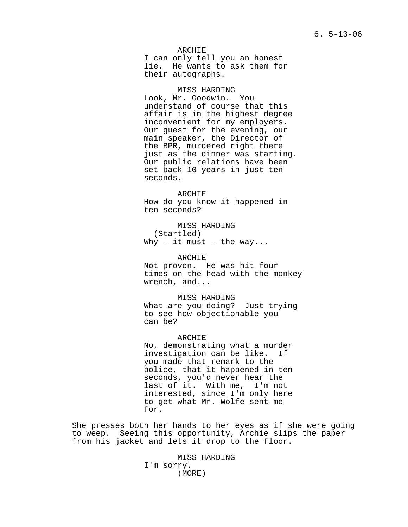ARCHIE I can only tell you an honest lie. He wants to ask them for their autographs.

#### MISS HARDING

Look, Mr. Goodwin. You understand of course that this affair is in the highest degree inconvenient for my employers. Our guest for the evening, our main speaker, the Director of the BPR, murdered right there just as the dinner was starting. Our public relations have been set back 10 years in just ten seconds.

ARCHIE How do you know it happened in ten seconds?

MISS HARDING (Startled) Why - it must - the way...

ARCHIE Not proven. He was hit four times on the head with the monkey wrench, and...

MISS HARDING What are you doing? Just trying to see how objectionable you can be?

#### ARCHIE

No, demonstrating what a murder investigation can be like. If you made that remark to the police, that it happened in ten seconds, you'd never hear the last of it. With me, I'm not interested, since I'm only here to get what Mr. Wolfe sent me for.

She presses both her hands to her eyes as if she were going to weep. Seeing this opportunity, Archie slips the paper from his jacket and lets it drop to the floor.

> MISS HARDING I'm sorry. (MORE)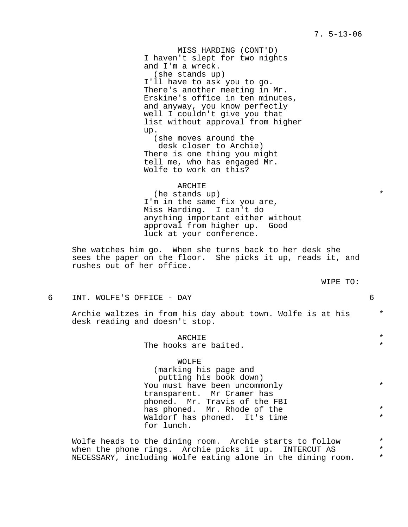7. 5-13-06

MISS HARDING (CONT'D) I haven't slept for two nights and I'm a wreck. (she stands up) I'll have to ask you to go. There's another meeting in Mr. Erskine's office in ten minutes, and anyway, you know perfectly well I couldn't give you that list without approval from higher up. (she moves around the desk closer to Archie) There is one thing you might tell me, who has engaged Mr. Wolfe to work on this?

ARCHIE (he stands up)  $*$ I'm in the same fix you are, Miss Harding. I can't do anything important either without approval from higher up. Good luck at your conference.

She watches him go. When she turns back to her desk she sees the paper on the floor. She picks it up, reads it, and rushes out of her office.

| WIPE | TΟ |
|------|----|
|------|----|

6 INT. WOLFE'S OFFICE - DAY 6

Archie waltzes in from his day about town. Wolfe is at his  $*$ desk reading and doesn't stop.

> ARCHIE \* The hooks are baited.

> WOLFE (marking his page and putting his book down) You must have been uncommonly  $*$ transparent. Mr Cramer has phoned. Mr. Travis of the FBI has phoned. Mr. Rhode of the  $*$ Waldorf has phoned. It's time for lunch.

Wolfe heads to the dining room. Archie starts to follow  $*$ <br>when the phone rings archie picks it up a INTERCUT AS when the phone rings. Archie picks it up. INTERCUT AS  $*$ <br>NECESSARY including Molfe esting alone in the dining room  $*$ NECESSARY, including Wolfe eating alone in the dining room. \*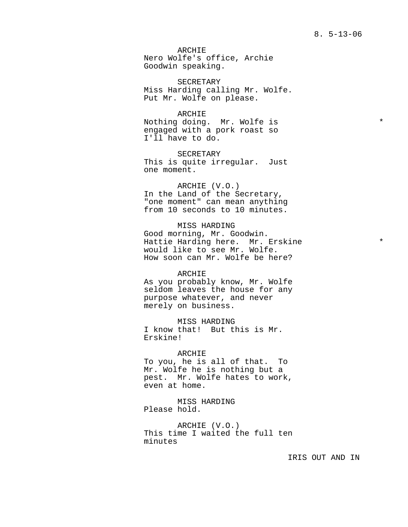ARCHIE Nero Wolfe's office, Archie Goodwin speaking.

SECRETARY Miss Harding calling Mr. Wolfe. Put Mr. Wolfe on please.

ARCHIE Nothing doing. Mr. Wolfe is  $*$ engaged with a pork roast so I'll have to do.

SECRETARY This is quite irregular. Just one moment.

ARCHIE (V.O.) In the Land of the Secretary, "one moment" can mean anything from 10 seconds to 10 minutes.

MISS HARDING Good morning, Mr. Goodwin. Hattie Harding here. Mr. Erskine \* would like to see Mr. Wolfe. How soon can Mr. Wolfe be here?

ARCHIE As you probably know, Mr. Wolfe seldom leaves the house for any purpose whatever, and never merely on business.

MISS HARDING I know that! But this is Mr. Erskine!

ARCHIE To you, he is all of that. To Mr. Wolfe he is nothing but a pest. Mr. Wolfe hates to work, even at home.

MISS HARDING Please hold.

ARCHIE (V.O.) This time I waited the full ten minutes

IRIS OUT AND IN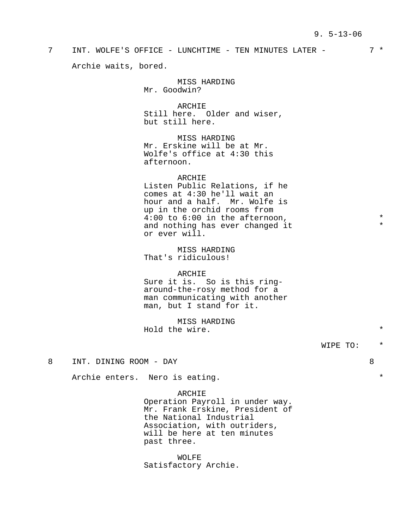7 INT. WOLFE'S OFFICE - LUNCHTIME - TEN MINUTES LATER - 7 \* Archie waits, bored.

> MISS HARDING Mr. Goodwin?

ARCHIE Still here. Older and wiser, but still here.

MISS HARDING Mr. Erskine will be at Mr. Wolfe's office at 4:30 this afternoon.

ARCHIE Listen Public Relations, if he comes at 4:30 he'll wait an hour and a half. Mr. Wolfe is up in the orchid rooms from  $4:00$  to  $6:00$  in the afternoon,  $*$ <br>and nothing has ever changed it  $*$ and nothing has ever changed it or ever will.

MISS HARDING That's ridiculous!

ARCHIE

Sure it is. So is this ringaround-the-rosy method for a man communicating with another man, but I stand for it.

MISS HARDING Hold the wire.  $*$ 

WIPE TO: \*

8 INT. DINING ROOM - DAY 8

Archie enters. Nero is eating.  $*$ 

ARCHIE

Operation Payroll in under way. Mr. Frank Erskine, President of the National Industrial Association, with outriders, will be here at ten minutes past three.

WOLFE Satisfactory Archie.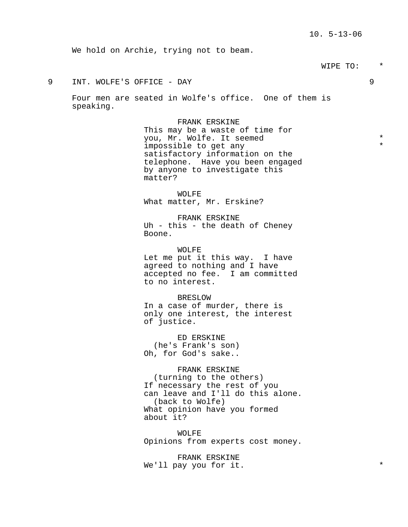We hold on Archie, trying not to beam.

# WIPE TO: \*

# 9 INT. WOLFE'S OFFICE - DAY 9

Four men are seated in Wolfe's office. One of them is speaking.

> FRANK ERSKINE This may be a waste of time for you, Mr. Wolfe. It seemed \* impossible to get any satisfactory information on the telephone. Have you been engaged by anyone to investigate this matter?

WOLFE What matter, Mr. Erskine?

FRANK ERSKINE Uh - this - the death of Cheney Boone.

WOLFE Let me put it this way. I have agreed to nothing and I have accepted no fee. I am committed to no interest.

BRESLOW In a case of murder, there is only one interest, the interest of justice.

ED ERSKINE (he's Frank's son) Oh, for God's sake..

# FRANK ERSKINE

(turning to the others) If necessary the rest of you can leave and I'll do this alone. (back to Wolfe) What opinion have you formed about it?

WOLFE Opinions from experts cost money.

FRANK ERSKINE We'll pay you for it.  $*$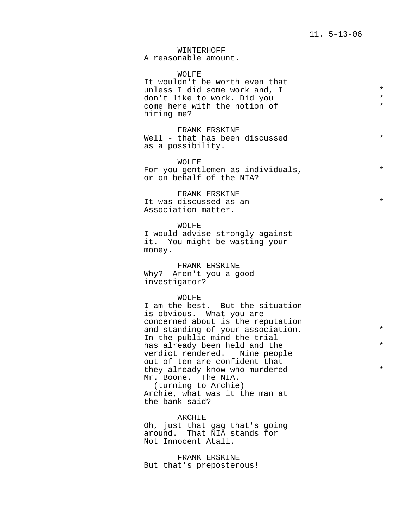# WINTERHOFF

A reasonable amount.

#### WOLFE

It wouldn't be worth even that unless I did some work and, I \* don't like to work. Did you \* come here with the notion of hiring me?

FRANK ERSKINE Well - that has been discussed \* as a possibility.

WOLFE For you gentlemen as individuals,  $*$ or on behalf of the NIA?

FRANK ERSKINE It was discussed as an  $*$ Association matter.

WOLFE I would advise strongly against it. You might be wasting your money.

FRANK ERSKINE Why? Aren't you a good investigator?

#### WOLFE

I am the best. But the situation is obvious. What you are concerned about is the reputation and standing of your association.  $*$ In the public mind the trial has already been held and the  $*$ verdict rendered. Nine people out of ten are confident that they already know who murdered  $*$ Mr. Boone. The NIA. (turning to Archie)

Archie, what was it the man at the bank said?

ARCHIE Oh, just that gag that's going around. That NIA stands for Not Innocent Atall.

FRANK ERSKINE But that's preposterous!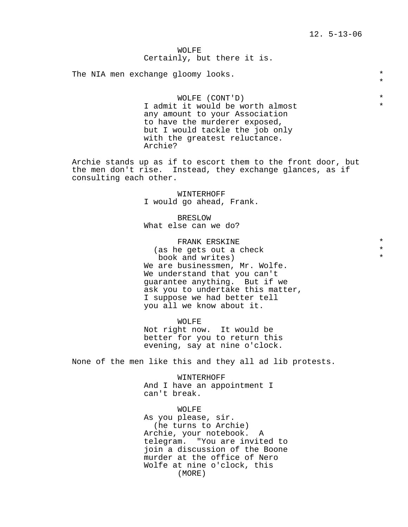\*

# WOLFE Certainly, but there it is.

The NIA men exchange gloomy looks.  $*$ 

WOLFE (CONT'D) \*<br>it would be worth almost \* \* I admit it would be worth almost any amount to your Association to have the murderer exposed, but I would tackle the job only with the greatest reluctance. Archie?

Archie stands up as if to escort them to the front door, but the men don't rise. Instead, they exchange glances, as if consulting each other.

> WINTERHOFF I would go ahead, Frank.

BRESLOW What else can we do?

FRANK ERSKINE \* (as he gets out a check book and writes) We are businessmen, Mr. Wolfe. We understand that you can't guarantee anything. But if we ask you to undertake this matter, I suppose we had better tell you all we know about it.

WOLFE Not right now. It would be better for you to return this evening, say at nine o'clock.

None of the men like this and they all ad lib protests.

WINTERHOFF And I have an appointment I can't break.

WOLFE As you please, sir. (he turns to Archie) Archie, your notebook. A telegram. "You are invited to join a discussion of the Boone murder at the office of Nero Wolfe at nine o'clock, this (MORE)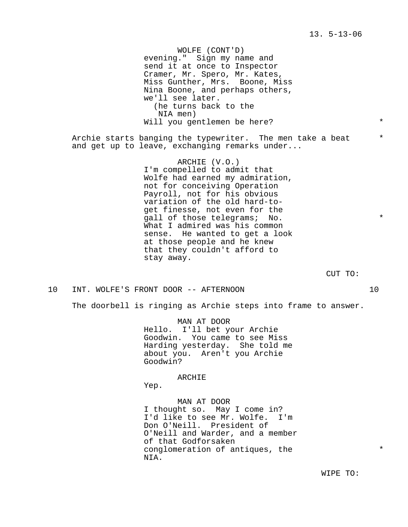WOLFE (CONT'D) evening." Sign my name and send it at once to Inspector Cramer, Mr. Spero, Mr. Kates, Miss Gunther, Mrs. Boone, Miss Nina Boone, and perhaps others, we'll see later. (he turns back to the NIA men) Will you gentlemen be here? \* Archie starts banging the typewriter. The men take a beat  $*$ and get up to leave, exchanging remarks under... ARCHIE (V.O.) I'm compelled to admit that Wolfe had earned my admiration, not for conceiving Operation Payroll, not for his obvious variation of the old hard-toget finesse, not even for the gall of those telegrams; No.  $*$ What I admired was his common sense. He wanted to get a look at those people and he knew that they couldn't afford to stay away. CUT TO:

10 INT. WOLFE'S FRONT DOOR -- AFTERNOON 10

The doorbell is ringing as Archie steps into frame to answer.

MAN AT DOOR Hello. I'll bet your Archie Goodwin. You came to see Miss Harding yesterday. She told me about you. Aren't you Archie Goodwin?

ARCHIE

Yep.

MAN AT DOOR I thought so. May I come in? I'd like to see Mr. Wolfe. I'm Don O'Neill. President of O'Neill and Warder, and a member of that Godforsaken conglomeration of antiques, the  $*$ NIA.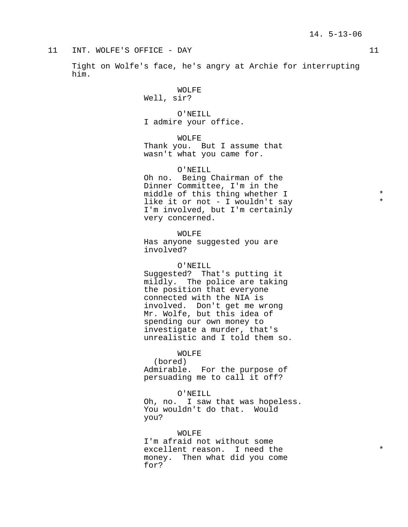Tight on Wolfe's face, he's angry at Archie for interrupting him.

> WOLFE Well, sir?

O'NEILL I admire your office.

WOLFE Thank you. But I assume that wasn't what you came for.

O'NEILL Oh no. Being Chairman of the Dinner Committee, I'm in the middle of this thing whether I  $*$ <br>like it as not I wouldn't gave like it or not - I wouldn't say \* I'm involved, but I'm certainly very concerned.

WOLFE Has anyone suggested you are involved?

# O'NEILL

Suggested? That's putting it mildly. The police are taking the position that everyone connected with the NIA is involved. Don't get me wrong Mr. Wolfe, but this idea of spending our own money to investigate a murder, that's unrealistic and I told them so.

# WOLFE

(bored) Admirable. For the purpose of persuading me to call it off?

O'NEILL Oh, no. I saw that was hopeless. You wouldn't do that. Would you?

WOLFE I'm afraid not without some excellent reason. I need the  $*$ money. Then what did you come for?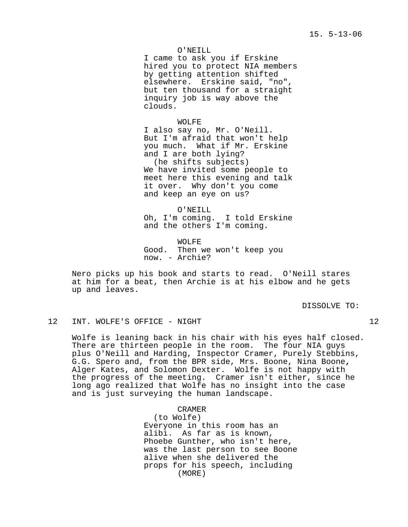# 15. 5-13-06

O'NEILL I came to ask you if Erskine hired you to protect NIA members by getting attention shifted elsewhere. Erskine said, "no", but ten thousand for a straight inquiry job is way above the clouds.

WOLFE I also say no, Mr. O'Neill. But I'm afraid that won't help you much. What if Mr. Erskine and I are both lying? (he shifts subjects) We have invited some people to meet here this evening and talk it over. Why don't you come and keep an eye on us?

O'NEILL Oh, I'm coming. I told Erskine and the others I'm coming.

WOLFE Good. Then we won't keep you now. - Archie?

Nero picks up his book and starts to read. O'Neill stares at him for a beat, then Archie is at his elbow and he gets up and leaves.

DISSOLVE TO:

# 12 INT. WOLFE'S OFFICE - NIGHT 12

Wolfe is leaning back in his chair with his eyes half closed. There are thirteen people in the room. The four NIA guys plus O'Neill and Harding, Inspector Cramer, Purely Stebbins, G.G. Spero and, from the BPR side, Mrs. Boone, Nina Boone**,** Alger Kates, and Solomon Dexter. Wolfe is not happy with the progress of the meeting. Cramer isn't either, since he long ago realized that Wolfe has no insight into the case and is just surveying the human landscape.

> CRAMER (to Wolfe) Everyone in this room has an alibi. As far as is known, Phoebe Gunther, who isn't here, was the last person to see Boone alive when she delivered the props for his speech, including (MORE)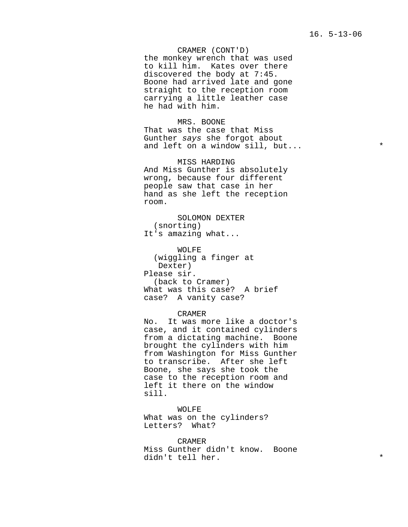16. 5-13-06

CRAMER (CONT'D) the monkey wrench that was used to kill him. Kates over there discovered the body at 7:45. Boone had arrived late and gone straight to the reception room carrying a little leather case he had with him.

MRS. BOONE That was the case that Miss Gunther says she forgot about and left on a window sill, but...  $*$ 

MISS HARDING And Miss Gunther is absolutely wrong, because four different people saw that case in her hand as she left the reception room.

SOLOMON DEXTER (snorting) It's amazing what...

WOLFE (wiggling a finger at Dexter) Please sir. (back to Cramer) What was this case? A brief case? A vanity case?

# CRAMER

No. It was more like a doctor's case, and it contained cylinders from a dictating machine. Boone brought the cylinders with him from Washington for Miss Gunther to transcribe. After she left Boone, she says she took the case to the reception room and left it there on the window sill.

WOLFE What was on the cylinders? Letters? What?

CRAMER Miss Gunther didn't know. Boone didn't tell her. \*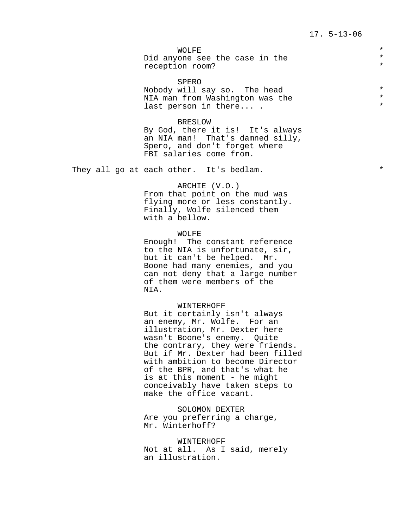WOLFE  $\qquad \qquad \star$ Did anyone see the case in the  $*$ <br>recontion room? reception room?

SPERO Nobody will say so. The head \* NIA man from Washington was the last person in there... .

#### BRESLOW

By God, there it is! It's always an NIA man! That's damned silly, Spero, and don't forget where FBI salaries come from.

They all go at each other. It's bedlam.  $*$ 

# ARCHIE (V.O.)

From that point on the mud was flying more or less constantly. Finally, Wolfe silenced them with a bellow.

# WOLFE

Enough! The constant reference to the NIA is unfortunate, sir, but it can't be helped. Mr. Boone had many enemies, and you can not deny that a large number of them were members of the NIA.

#### WINTERHOFF

But it certainly isn't always an enemy, Mr. Wolfe. For an illustration, Mr. Dexter here wasn't Boone's enemy. Quite the contrary, they were friends. But if Mr. Dexter had been filled with ambition to become Director of the BPR, and that's what he is at this moment - he might conceivably have taken steps to make the office vacant.

SOLOMON DEXTER Are you preferring a charge, Mr. Winterhoff?

WINTERHOFF Not at all. As I said, merely an illustration.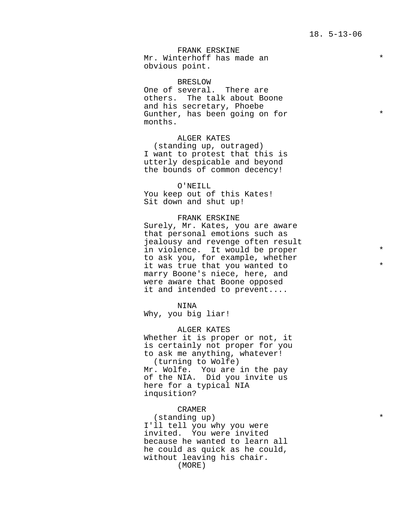FRANK ERSKINE Mr. Winterhoff has made an \* obvious point.

BRESLOW One of several. There are others. The talk about Boone and his secretary, Phoebe Gunther, has been going on for  $*$ months.

ALGER KATES (standing up, outraged) I want to protest that this is utterly despicable and beyond the bounds of common decency!

O'NEILL You keep out of this Kates! Sit down and shut up!

# FRANK ERSKINE

Surely, Mr. Kates, you are aware that personal emotions such as jealousy and revenge often result in violence. It would be proper to ask you, for example, whether it was true that you wanted to marry Boone's niece, here, and were aware that Boone opposed it and intended to prevent....

# NINA

Why, you big liar!

ALGER KATES Whether it is proper or not, it is certainly not proper for you to ask me anything, whatever! (turning to Wolfe) Mr. Wolfe. You are in the pay of the NIA. Did you invite us here for a typical NIA inqusition?

# CRAMER

(standing up) \* I'll tell you why you were invited. You were invited because he wanted to learn all he could as quick as he could, without leaving his chair. (MORE)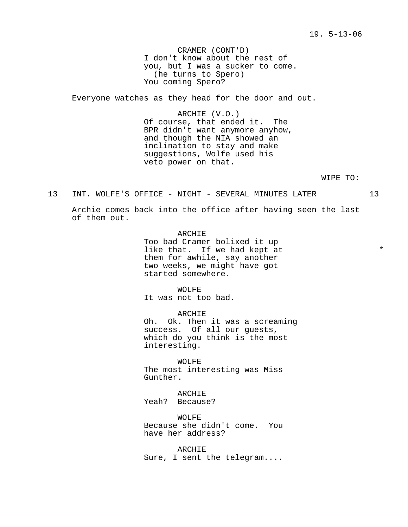CRAMER (CONT'D) I don't know about the rest of you, but I was a sucker to come. (he turns to Spero) You coming Spero?

Everyone watches as they head for the door and out.

ARCHIE (V.O.) Of course, that ended it. The BPR didn't want anymore anyhow, and though the NIA showed an inclination to stay and make suggestions, Wolfe used his veto power on that.

WIPE TO:

13 INT. WOLFE'S OFFICE - NIGHT - SEVERAL MINUTES LATER 13

Archie comes back into the office after having seen the last of them out.

> ARCHIE Too bad Cramer bolixed it up like that. If we had kept at  $*$ them for awhile, say another two weeks, we might have got started somewhere.

WOLFE It was not too bad.

ARCHIE Oh. Ok. Then it was a screaming success. Of all our guests, which do you think is the most interesting.

WOLFE The most interesting was Miss Gunther.

ARCHIE Yeah? Because?

WOLFE Because she didn't come. You have her address?

ARCHIE Sure, I sent the telegram....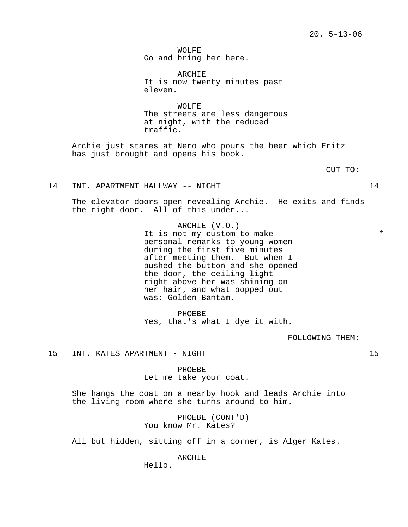WOLFE Go and bring her here.

ARCHIE It is now twenty minutes past eleven.

WOLFE The streets are less dangerous at night, with the reduced traffic.

Archie just stares at Nero who pours the beer which Fritz has just brought and opens his book.

CUT TO:

#### 14 INT. APARTMENT HALLWAY -- NIGHT 14

The elevator doors open revealing Archie. He exits and finds the right door. All of this under...

> ARCHIE (V.O.) It is not my custom to make  $*$ personal remarks to young women during the first five minutes after meeting them. But when I pushed the button and she opened the door, the ceiling light right above her was shining on her hair, and what popped out was: Golden Bantam.

PHOEBE Yes, that's what I dye it with.

FOLLOWING THEM:

15 INT. KATES APARTMENT - NIGHT 15

PHOEBE Let me take your coat.

She hangs the coat on a nearby hook and leads Archie into the living room where she turns around to him.

> PHOEBE (CONT'D) You know Mr. Kates?

All but hidden, sitting off in a corner, is Alger Kates.

ARCHIE

Hello.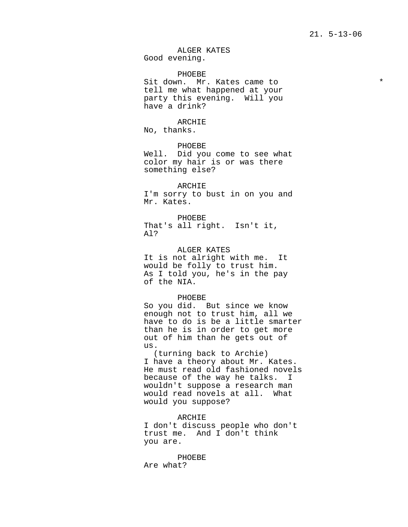ALGER KATES Good evening.

PHOEBE

Sit down. Mr. Kates came to \* tell me what happened at your party this evening. Will you have a drink?

ARCHIE

No, thanks.

PHOEBE Well. Did you come to see what color my hair is or was there something else?

ARCHIE I'm sorry to bust in on you and Mr. Kates.

PHOEBE That's all right. Isn't it, Al?

ALGER KATES It is not alright with me. It would be folly to trust him. As I told you, he's in the pay of the NIA.

#### PHOEBE

So you did. But since we know enough not to trust him, all we have to do is be a little smarter than he is in order to get more out of him than he gets out of us.

(turning back to Archie) I have a theory about Mr. Kates. He must read old fashioned novels because of the way he talks. I wouldn't suppose a research man would read novels at all. What would you suppose?

ARCHIE I don't discuss people who don't trust me. And I don't think you are.

PHOEBE Are what?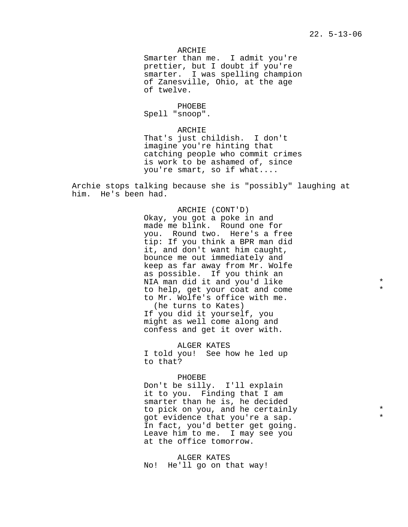# 22. 5-13-06

ARCHIE

Smarter than me. I admit you're prettier, but I doubt if you're smarter. I was spelling champion of Zanesville, Ohio, at the age of twelve.

PHOEBE Spell "snoop".

ARCHIE

That's just childish. I don't imagine you're hinting that catching people who commit crimes is work to be ashamed of, since you're smart, so if what....

Archie stops talking because she is "possibly" laughing at him. He's been had.

> ARCHIE (CONT'D) Okay, you got a poke in and made me blink. Round one for you. Round two. Here's a free tip: If you think a BPR man did it, and don't want him caught, bounce me out immediately and keep as far away from Mr. Wolfe as possible. If you think an NIA man did it and you'd like \* to help, get your coat and come \* to Mr. Wolfe's office with me. (he turns to Kates) If you did it yourself, you might as well come along and confess and get it over with.

ALGER KATES I told you! See how he led up to that?

#### PHOEBE

Don't be silly. I'll explain it to you. Finding that I am smarter than he is, he decided to pick on you, and he certainly got evidence that you're a sap. \* In fact, you'd better get going. Leave him to me. I may see you at the office tomorrow.

ALGER KATES No! He'll go on that way!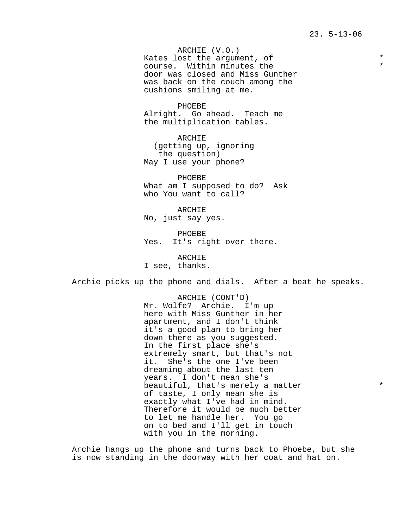ARCHIE (V.O.) Kates lost the argument, of  $*$ course. Within minutes the \* door was closed and Miss Gunther was back on the couch among the cushions smiling at me.

PHOEBE Alright. Go ahead. Teach me the multiplication tables.

ARCHIE (getting up, ignoring the question) May I use your phone?

PHOEBE What am I supposed to do? Ask who You want to call?

ARCHIE No, just say yes.

PHOEBE Yes. It's right over there.

ARCHIE I see, thanks.

Archie picks up the phone and dials. After a beat he speaks.

ARCHIE (CONT'D) Mr. Wolfe? Archie. I'm up here with Miss Gunther in her apartment, and I don't think it's a good plan to bring her down there as you suggested. In the first place she's extremely smart, but that's not it. She's the one I've been dreaming about the last ten years. I don't mean she's beautiful, that's merely a matter  $*$ of taste, I only mean she is exactly what I've had in mind. Therefore it would be much better to let me handle her. You go on to bed and I'll get in touch with you in the morning.

Archie hangs up the phone and turns back to Phoebe, but she is now standing in the doorway with her coat and hat on.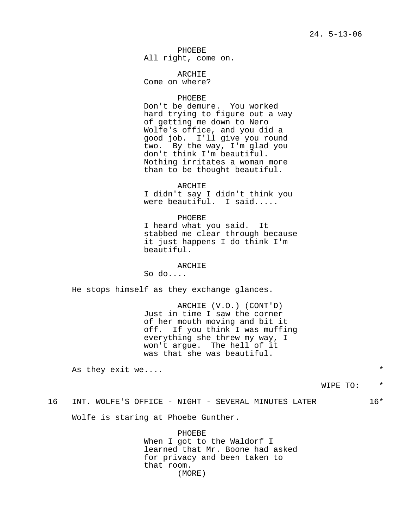PHOEBE All right, come on.

ARCHIE Come on where?

# PHOEBE

Don't be demure. You worked hard trying to figure out a way of getting me down to Nero Wolfe's office, and you did a good job. I'll give you round two. By the way, I'm glad you don't think I'm beautiful. Nothing irritates a woman more than to be thought beautiful.

#### ARCHIE

I didn't say I didn't think you were beautiful. I said.....

PHOEBE I heard what you said. It stabbed me clear through because it just happens I do think I'm beautiful.

### ARCHIE

So do....

He stops himself as they exchange glances.

ARCHIE (V.O.) (CONT'D) Just in time I saw the corner of her mouth moving and bit it off. If you think I was muffing everything she threw my way, I won't argue. The hell of it was that she was beautiful.

As they exit we....  $*$ 

# 16 INT. WOLFE'S OFFICE - NIGHT - SEVERAL MINUTES LATER 16\*

Wolfe is staring at Phoebe Gunther.

PHOEBE When I got to the Waldorf I learned that Mr. Boone had asked for privacy and been taken to that room. (MORE)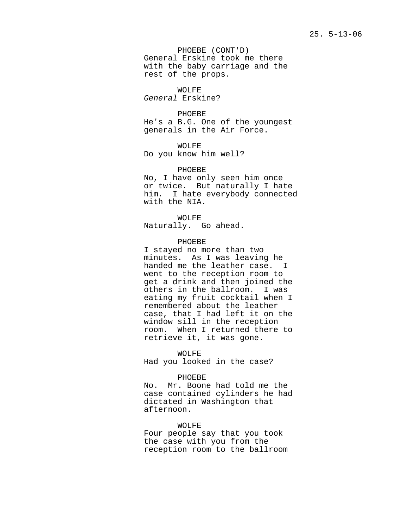PHOEBE (CONT'D) General Erskine took me there with the baby carriage and the rest of the props.

WOLFE General Erskine?

PHOEBE He's a B.G. One of the youngest generals in the Air Force.

WOLFE Do you know him well?

PHOEBE No, I have only seen him once or twice. But naturally I hate him. I hate everybody connected with the NIA.

WOLFE Naturally. Go ahead.

PHOEBE

I stayed no more than two minutes. As I was leaving he handed me the leather case. I went to the reception room to get a drink and then joined the others in the ballroom. I was eating my fruit cocktail when I remembered about the leather case, that I had left it on the window sill in the reception room. When I returned there to retrieve it, it was gone.

WOLFE Had you looked in the case?

PHOEBE

No. Mr. Boone had told me the case contained cylinders he had dictated in Washington that afternoon.

WOLFE Four people say that you took the case with you from the reception room to the ballroom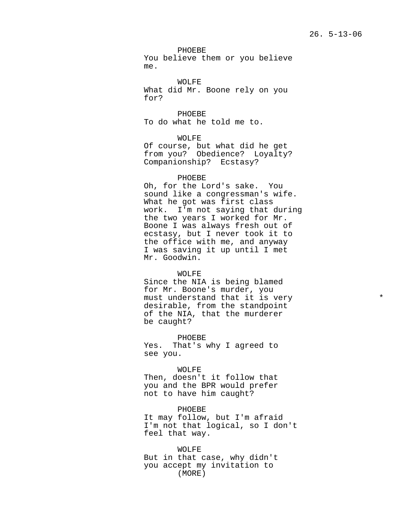PHOEBE You believe them or you believe me.

WOLFE What did Mr. Boone rely on you for?

PHOEBE To do what he told me to.

WOLFE Of course, but what did he get from you? Obedience? Loyalty? Companionship? Ecstasy?

#### PHOEBE

Oh, for the Lord's sake. You sound like a congressman's wife. What he got was first class work. I'm not saying that during the two years I worked for Mr. Boone I was always fresh out of ecstasy, but I never took it to the office with me, and anyway I was saving it up until I met Mr. Goodwin.

#### WOLFE

Since the NIA is being blamed for Mr. Boone's murder, you must understand that it is very desirable, from the standpoint of the NIA, that the murderer be caught?

PHOEBE Yes. That's why I agreed to see you.

#### WOLFE

Then, doesn't it follow that you and the BPR would prefer not to have him caught?

PHOEBE It may follow, but I'm afraid I'm not that logical, so I don't feel that way.

WOLFE But in that case, why didn't you accept my invitation to (MORE)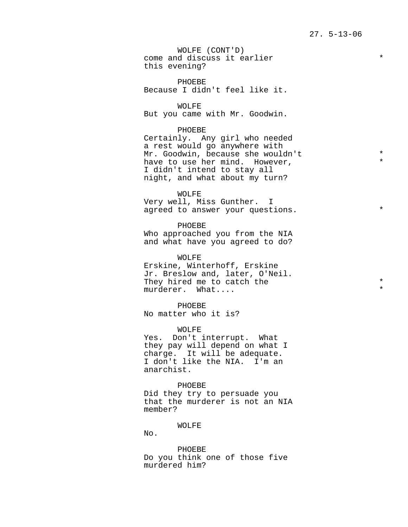WOLFE (CONT'D) come and discuss it earlier  $*$ this evening?

PHOEBE Because I didn't feel like it.

WOLFE

But you came with Mr. Goodwin.

#### PHOEBE

Certainly. Any girl who needed a rest would go anywhere with Mr. Goodwin, because she wouldn't \* have to use her mind. However, I didn't intend to stay all night, and what about my turn?

WOLFE

Very well, Miss Gunther. I agreed to answer your questions.

PHOEBE Who approached you from the NIA and what have you agreed to do?

WOLFE Erskine, Winterhoff, Erskine Jr. Breslow and, later, O'Neil. They hired me to catch the  $\star$  \* murderer. What....

PHOEBE No matter who it is?

#### WOLFE

Yes. Don't interrupt. What they pay will depend on what I charge. It will be adequate. I don't like the NIA. I'm an anarchist.

PHOEBE

Did they try to persuade you that the murderer is not an NIA member?

#### WOLFE

No.

PHOEBE Do you think one of those five murdered him?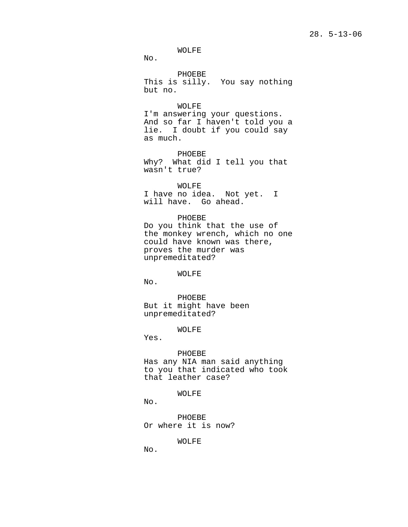# 28. 5-13-06

WOLFE

No.

PHOEBE This is silly. You say nothing but no.

WOLFE I'm answering your questions. And so far I haven't told you a lie. I doubt if you could say as much.

PHOEBE Why? What did I tell you that wasn't true?

WOLFE I have no idea. Not yet. I will have. Go ahead.

PHOEBE Do you think that the use of the monkey wrench, which no one could have known was there, proves the murder was unpremeditated?

WOLFE

No.

PHOEBE But it might have been unpremeditated?

WOLFE

Yes.

#### PHOEBE

Has any NIA man said anything to you that indicated who took that leather case?

WOLFE

No.

PHOEBE Or where it is now?

WOLFE

No.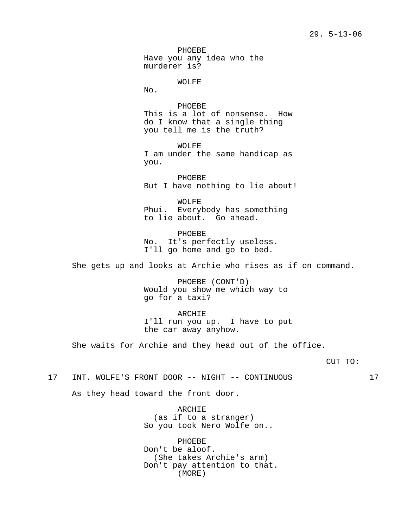PHOEBE Have you any idea who the murderer is?

#### WOLFE

No.

PHOEBE This is a lot of nonsense. How do I know that a single thing you tell me is the truth?

WOLFE I am under the same handicap as you.

PHOEBE But I have nothing to lie about!

WOLFE Phui. Everybody has something to lie about. Go ahead.

PHOEBE No. It's perfectly useless. I'll go home and go to bed.

She gets up and looks at Archie who rises as if on command.

PHOEBE (CONT'D) Would you show me which way to go for a taxi?

ARCHIE I'll run you up. I have to put the car away anyhow.

She waits for Archie and they head out of the office.

CUT TO:

17 INT. WOLFE'S FRONT DOOR -- NIGHT -- CONTINUOUS 17

As they head toward the front door.

ARCHIE (as if to a stranger) So you took Nero Wolfe on..

PHOEBE Don't be aloof. (She takes Archie's arm) Don't pay attention to that. (MORE)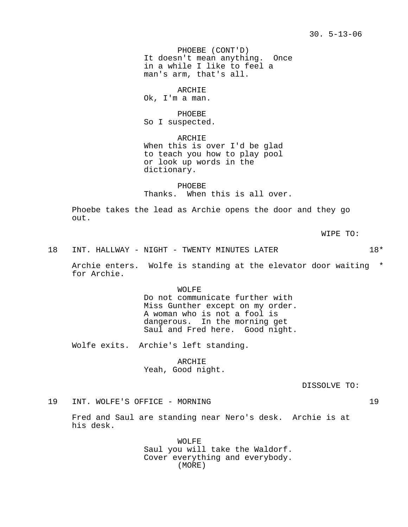PHOEBE (CONT'D) It doesn't mean anything. Once in a while I like to feel a man's arm, that's all.

ARCHIE

Ok, I'm a man.

PHOEBE So I suspected.

ARCHIE When this is over I'd be glad to teach you how to play pool or look up words in the dictionary.

PHOEBE Thanks. When this is all over.

Phoebe takes the lead as Archie opens the door and they go out.

WIPE TO:

18 INT. HALLWAY - NIGHT - TWENTY MINUTES LATER  $18*$ 

Archie enters. Wolfe is standing at the elevator door waiting \* for Archie.

> WOLFE Do not communicate further with Miss Gunther except on my order. A woman who is not a fool is dangerous. In the morning get Saul and Fred here. Good night.

Wolfe exits. Archie's left standing.

ARCHIE Yeah, Good night.

DISSOLVE TO:

#### 19 INT. WOLFE'S OFFICE - MORNING 19

Fred and Saul are standing near Nero's desk. Archie is at his desk.

> WOLFE Saul you will take the Waldorf. Cover everything and everybody. (MORE)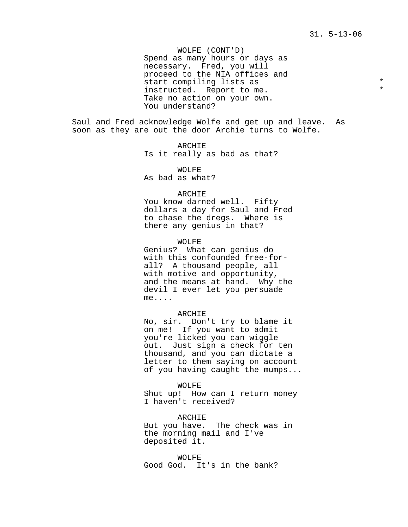WOLFE (CONT'D) Spend as many hours or days as necessary. Fred, you will proceed to the NIA offices and start compiling lists as  $*$ instructed. Report to me. Take no action on your own. You understand?

Saul and Fred acknowledge Wolfe and get up and leave. As soon as they are out the door Archie turns to Wolfe.

> ARCHIE Is it really as bad as that?

WOLFE As bad as what?

### ARCHIE

You know darned well. Fifty dollars a day for Saul and Fred to chase the dregs. Where is there any genius in that?

WOLFE Genius? What can genius do with this confounded free-forall? A thousand people, all with motive and opportunity, and the means at hand. Why the devil I ever let you persuade me....

#### ARCHIE

No, sir. Don't try to blame it on me! If you want to admit you're licked you can wiggle out. Just sign a check for ten thousand, and you can dictate a letter to them saying on account of you having caught the mumps...

WOLFE

Shut up! How can I return money I haven't received?

ARCHIE But you have. The check was in the morning mail and I've deposited it.

WOLFE Good God. It's in the bank?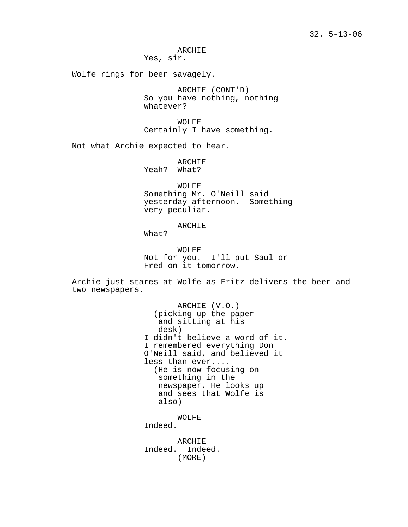ARCHIE

Yes, sir.

Wolfe rings for beer savagely.

ARCHIE (CONT'D) So you have nothing, nothing whatever?

WOLFE Certainly I have something.

Not what Archie expected to hear.

ARCHIE Yeah? What?

WOLFE Something Mr. O'Neill said yesterday afternoon. Something very peculiar.

ARCHIE

What?

WOLFE Not for you. I'll put Saul or Fred on it tomorrow.

Archie just stares at Wolfe as Fritz delivers the beer and two newspapers.

> ARCHIE (V.O.) (picking up the paper and sitting at his desk) I didn't believe a word of it. I remembered everything Don O'Neill said, and believed it less than ever.... (He is now focusing on something in the newspaper. He looks up and sees that Wolfe is also) WOLFE

Indeed.

ARCHIE Indeed. Indeed. (MORE)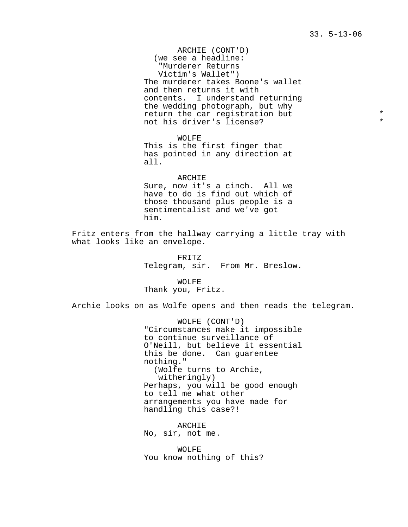33. 5-13-06

ARCHIE (CONT'D) (we see a headline: "Murderer Returns Victim's Wallet") The murderer takes Boone's wallet and then returns it with contents. I understand returning the wedding photograph, but why return the car registration but  $*$ not his driver's license?

WOLFE This is the first finger that has pointed in any direction at all.

#### ARCHIE

Sure, now it's a cinch. All we have to do is find out which of those thousand plus people is a sentimentalist and we've got him.

Fritz enters from the hallway carrying a little tray with what looks like an envelope.

> FRITZ Telegram, sir. From Mr. Breslow.

WOLFE Thank you, Fritz.

Archie looks on as Wolfe opens and then reads the telegram.

WOLFE (CONT'D) "Circumstances make it impossible to continue surveillance of O'Neill, but believe it essential this be done. Can guarentee nothing." (Wolfe turns to Archie, witheringly) Perhaps, you will be good enough to tell me what other arrangements you have made for handling this case?!

ARCHIE No, sir, not me.

WOLFE You know nothing of this?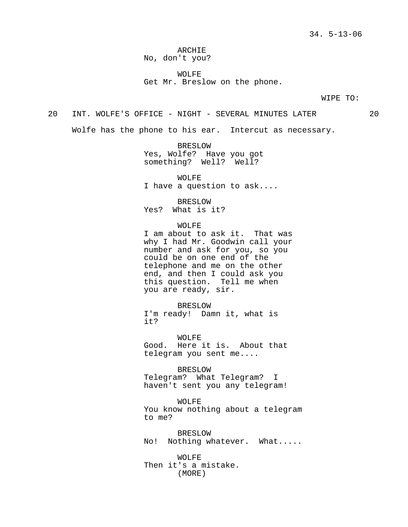ARCHIE No, don't you?

WOLFE Get Mr. Breslow on the phone.

WIPE TO:

20 INT. WOLFE'S OFFICE - NIGHT - SEVERAL MINUTES LATER 20

Wolfe has the phone to his ear. Intercut as necessary.

BRESLOW Yes, Wolfe? Have you got something? Well? Well?

WOLFE I have a question to ask....

BRESLOW Yes? What is it?

#### WOLFE

I am about to ask it. That was why I had Mr. Goodwin call your number and ask for you, so you could be on one end of the telephone and me on the other end, and then I could ask you this question. Tell me when you are ready, sir.

BRESLOW I'm ready! Damn it, what is it?

WOLFE Good. Here it is. About that telegram you sent me....

BRESLOW Telegram? What Telegram? I haven't sent you any telegram!

WOLFE You know nothing about a telegram to me?

BRESLOW No! Nothing whatever. What.....

WOLFE Then it's a mistake. (MORE)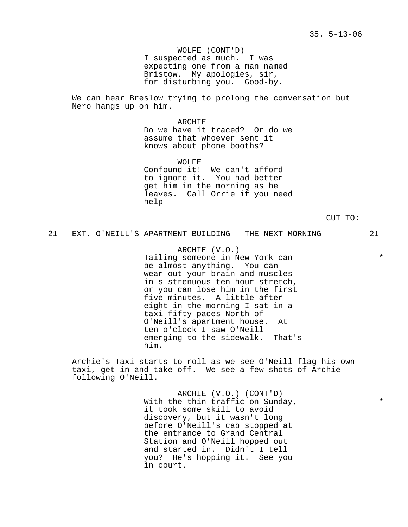WOLFE (CONT'D) I suspected as much. I was expecting one from a man named Bristow. My apologies, sir, for disturbing you. Good-by.

We can hear Breslow trying to prolong the conversation but Nero hangs up on him.

> ARCHIE Do we have it traced? Or do we assume that whoever sent it knows about phone booths?

> WOLFE Confound it! We can't afford to ignore it. You had better get him in the morning as he leaves. Call Orrie if you need help

> > CUT TO:

# 21 EXT. O'NEILL'S APARTMENT BUILDING - THE NEXT MORNING 21

ARCHIE (V.O.) Tailing someone in New York can  $*$ be almost anything. You can wear out your brain and muscles in s strenuous ten hour stretch, or you can lose him in the first five minutes. A little after eight in the morning I sat in a taxi fifty paces North of O'Neill's apartment house. At ten o'clock I saw O'Neill emerging to the sidewalk. That's him.

Archie's Taxi starts to roll as we see O'Neill flag his own taxi, get in and take off. We see a few shots of Archie following O'Neill.

> ARCHIE (V.O.) (CONT'D) With the thin traffic on Sunday,  $*$ it took some skill to avoid discovery, but it wasn't long before O'Neill's cab stopped at the entrance to Grand Central Station and O'Neill hopped out and started in. Didn't I tell you? He's hopping it. See you in court.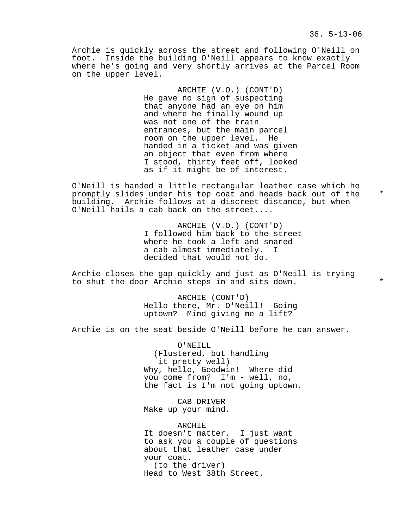Archie is quickly across the street and following O'Neill on foot. Inside the building O'Neill appears to know exactly where he's going and very shortly arrives at the Parcel Room on the upper level.

> ARCHIE (V.O.) (CONT'D) He gave no sign of suspecting that anyone had an eye on him and where he finally wound up was not one of the train entrances, but the main parcel room on the upper level. He handed in a ticket and was given an object that even from where I stood, thirty feet off, looked as if it might be of interest.

O'Neill is handed a little rectangular leather case which he promptly slides under his top coat and heads back out of the \* building. Archie follows at a discreet distance, but when O'Neill hails a cab back on the street....

> ARCHIE (V.O.) (CONT'D) I followed him back to the street where he took a left and snared a cab almost immediately. I decided that would not do.

Archie closes the gap quickly and just as O'Neill is trying to shut the door Archie steps in and sits down.

> ARCHIE (CONT'D) Hello there, Mr. O'Neill! Going uptown? Mind giving me a lift?

Archie is on the seat beside O'Neill before he can answer.

O'NEILL (Flustered, but handling it pretty well) Why, hello, Goodwin! Where did you come from? I'm - well, no, the fact is I'm not going uptown.

CAB DRIVER Make up your mind.

ARCHIE It doesn't matter. I just want to ask you a couple of questions about that leather case under your coat. (to the driver) Head to West 38th Street.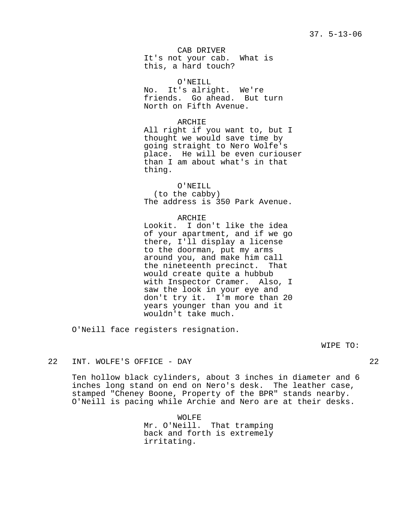CAB DRIVER It's not your cab. What is this, a hard touch?

O'NEILL No. It's alright. We're friends. Go ahead. But turn North on Fifth Avenue.

ARCHIE

All right if you want to, but I thought we would save time by going straight to Nero Wolfe's place. He will be even curiouser than I am about what's in that thing.

O'NEILL (to the cabby) The address is 350 Park Avenue.

ARCHIE Lookit. I don't like the idea of your apartment, and if we go there, I'll display a license to the doorman, put my arms around you, and make him call the nineteenth precinct. That would create quite a hubbub with Inspector Cramer. Also, I saw the look in your eye and don't try it. I'm more than 20 years younger than you and it wouldn't take much.

O'Neill face registers resignation.

WIPE TO:

## 22 INT. WOLFE'S OFFICE - DAY 22

Ten hollow black cylinders, about 3 inches in diameter and 6 inches long stand on end on Nero's desk. The leather case, stamped "Cheney Boone, Property of the BPR" stands nearby. O'Neill is pacing while Archie and Nero are at their desks.

> WOLFE Mr. O'Neill. That tramping back and forth is extremely irritating.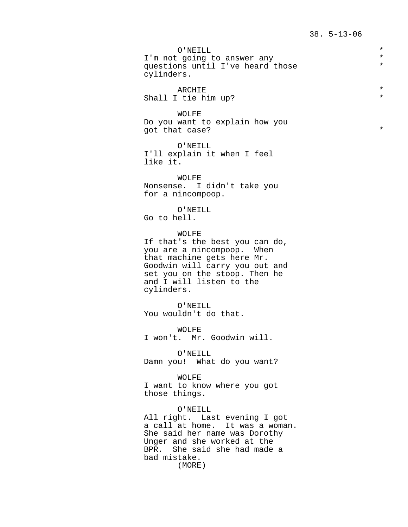O'NEILL<br>contract of answer any the set of the set of the set of the set of the set of the set of the set of the set of I'm not going to answer any  $\star$ <br>questions until I've heard those  $\star$ questions until I've heard those \* cylinders. ARCHIE \* Shall I tie him up? WOLFE Do you want to explain how you got that case?  $*$ O'NEILL I'll explain it when I feel like it. WOLFE Nonsense. I didn't take you for a nincompoop. O'NEILL Go to hell. WOLFE If that's the best you can do, you are a nincompoop. When that machine gets here Mr. Goodwin will carry you out and set you on the stoop. Then he and I will listen to the cylinders. O'NEILL You wouldn't do that. WOLFE I won't. Mr. Goodwin will. O'NEILL Damn you! What do you want? WOLFE I want to know where you got those things. O'NEILL All right. Last evening I got a call at home. It was a woman. She said her name was Dorothy Unger and she worked at the BPR. She said she had made a bad mistake. (MORE)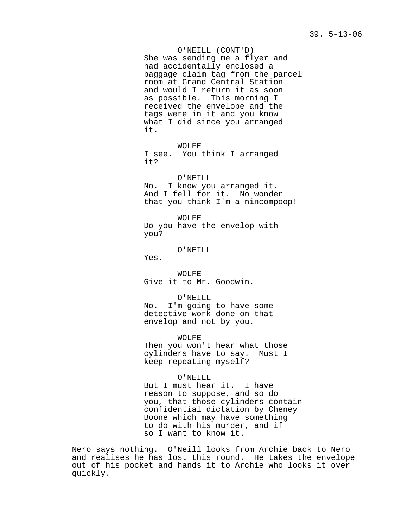O'NEILL (CONT'D) She was sending me a flyer and had accidentally enclosed a baggage claim tag from the parcel room at Grand Central Station and would I return it as soon as possible. This morning I received the envelope and the tags were in it and you know what I did since you arranged it.

WOLFE I see. You think I arranged it?

O'NEILL No. I know you arranged it. And I fell for it. No wonder that you think I'm a nincompoop!

WOLFE Do you have the envelop with you?

O'NEILL

Yes.

WOLFE Give it to Mr. Goodwin.

O'NEILL No. I'm going to have some detective work done on that envelop and not by you.

WOLFE Then you won't hear what those cylinders have to say. Must I keep repeating myself?

O'NEILL But I must hear it. I have reason to suppose, and so do you, that those cylinders contain confidential dictation by Cheney Boone which may have something to do with his murder, and if so I want to know it.

Nero says nothing. O'Neill looks from Archie back to Nero and realises he has lost this round. He takes the envelope out of his pocket and hands it to Archie who looks it over quickly.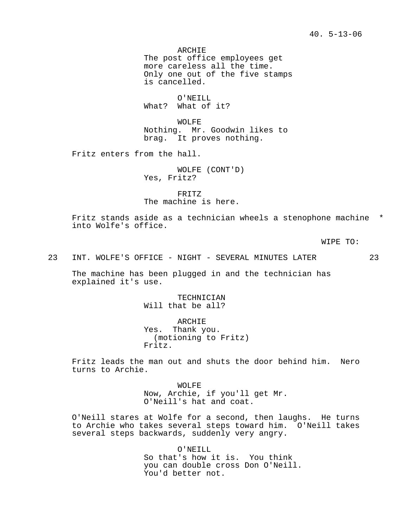ARCHIE The post office employees get more careless all the time. Only one out of the five stamps is cancelled.

O'NEILL What? What of it?

WOLFE Nothing. Mr. Goodwin likes to brag. It proves nothing.

Fritz enters from the hall.

WOLFE (CONT'D) Yes, Fritz?

FRITZ The machine is here.

Fritz stands aside as a technician wheels a stenophone machine \* into Wolfe's office.

WIPE TO:

23 INT. WOLFE'S OFFICE - NIGHT - SEVERAL MINUTES LATER 23

The machine has been plugged in and the technician has explained it's use.

> TECHNICIAN Will that be all?

ARCHIE Yes. Thank you. (motioning to Fritz) Fritz.

Fritz leads the man out and shuts the door behind him. Nero turns to Archie.

> WOLFE Now, Archie, if you'll get Mr. O'Neill's hat and coat.

O'Neill stares at Wolfe for a second, then laughs. He turns to Archie who takes several steps toward him. O'Neill takes several steps backwards, suddenly very angry.

> O'NEILL So that's how it is. You think you can double cross Don O'Neill. You'd better not.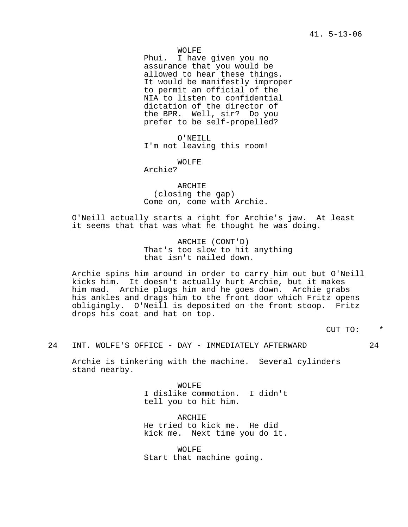WOLFE

Phui. I have given you no assurance that you would be allowed to hear these things. It would be manifestly improper to permit an official of the NIA to listen to confidential dictation of the director of the BPR. Well, sir? Do you prefer to be self-propelled?

O'NEILL I'm not leaving this room!

WOLFE

Archie?

ARCHIE (closing the gap) Come on, come with Archie.

O'Neill actually starts a right for Archie's jaw. At least it seems that that was what he thought he was doing.

> ARCHIE (CONT'D) That's too slow to hit anything that isn't nailed down.

Archie spins him around in order to carry him out but O'Neill kicks him. It doesn't actually hurt Archie, but it makes him mad. Archie plugs him and he goes down. Archie grabs his ankles and drags him to the front door which Fritz opens obligingly. O'Neill is deposited on the front stoop. Fritz drops his coat and hat on top.

CUT TO: \*

24 INT. WOLFE'S OFFICE - DAY - IMMEDIATELY AFTERWARD 24

Archie is tinkering with the machine. Several cylinders stand nearby.

> WOLFE I dislike commotion. I didn't tell you to hit him.

ARCHIE He tried to kick me. He did kick me. Next time you do it.

WOLFE Start that machine going.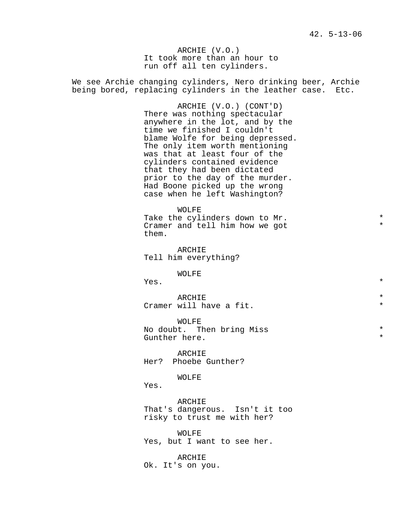ARCHIE (V.O.) It took more than an hour to run off all ten cylinders.

We see Archie changing cylinders, Nero drinking beer, Archie being bored, replacing cylinders in the leather case. Etc.

> ARCHIE (V.O.) (CONT'D) There was nothing spectacular anywhere in the lot, and by the time we finished I couldn't blame Wolfe for being depressed. The only item worth mentioning was that at least four of the cylinders contained evidence that they had been dictated prior to the day of the murder. Had Boone picked up the wrong case when he left Washington?

WOLFE Take the cylinders down to Mr.<br>Cramer and tell him how we got Cramer and tell him how we got \* them.

ARCHIE Tell him everything?

WOLFE

 $Yes.$  \*

ARCHIE  $\qquad \qquad \star$ Cramer will have a fit.  $*$ 

WOLFE No doubt. Then bring Miss  $*$ Gunther here.

ARCHIE Her? Phoebe Gunther?

WOLFE

Yes.

ARCHIE That's dangerous. Isn't it too risky to trust me with her?

WOLFE Yes, but I want to see her.

ARCHIE Ok. It's on you.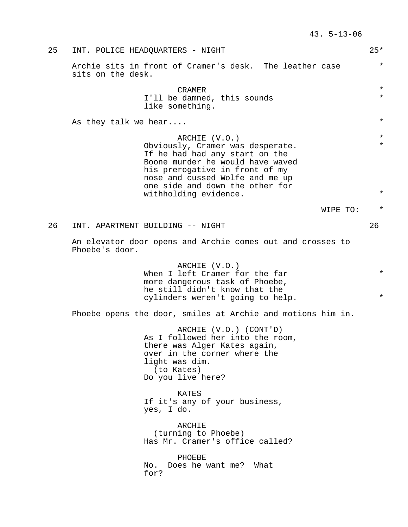25 INT. POLICE HEADQUARTERS - NIGHT 25\* Archie sits in front of Cramer's desk. The leather case  $*$ sits on the desk. CRAMER  $\star$ I'll be damned, this sounds \* \* like something. As they talk we hear....  $\ast$ ARCHIE (V.O.) \* Obviously, Cramer was desperate. If he had had any start on the Boone murder he would have waved his prerogative in front of my nose and cussed Wolfe and me up one side and down the other for withholding evidence.  $*$ WIPE TO: \* 26 INT. APARTMENT BUILDING -- NIGHT 26 An elevator door opens and Archie comes out and crosses to Phoebe's door. ARCHIE (V.O.) When I left Cramer for the far  $*$ more dangerous task of Phoebe, he still didn't know that the cylinders weren't going to help. Phoebe opens the door, smiles at Archie and motions him in. ARCHIE (V.O.) (CONT'D) As I followed her into the room, there was Alger Kates again, over in the corner where the light was dim. (to Kates) Do you live here? KATES If it's any of your business, yes, I do. ARCHIE (turning to Phoebe) Has Mr. Cramer's office called? PHOEBE No. Does he want me? What for?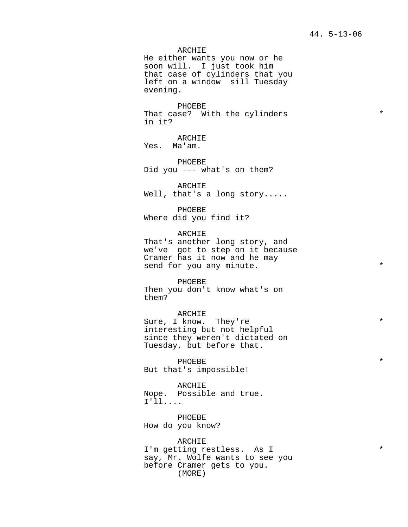ARCHIE

He either wants you now or he soon will. I just took him that case of cylinders that you left on a window sill Tuesday evening.

PHOEBE That case? With the cylinders  $*$ in it?

ARCHIE Yes. Ma'am.

PHOEBE Did you --- what's on them?

ARCHIE Well, that's a long story.....

PHOEBE Where did you find it?

ARCHIE That's another long story, and we've got to step on it because Cramer has it now and he may send for you any minute.  $*$ 

PHOEBE Then you don't know what's on them?

ARCHIE Sure, I know. They're  $*$ interesting but not helpful since they weren't dictated on Tuesday, but before that.

PHOEBE  $\qquad \qquad \bullet$ But that's impossible!

ARCHIE Nope. Possible and true. I'll....

PHOEBE How do you know?

ARCHIE I'm getting restless. As I \* say, Mr. Wolfe wants to see you before Cramer gets to you. (MORE)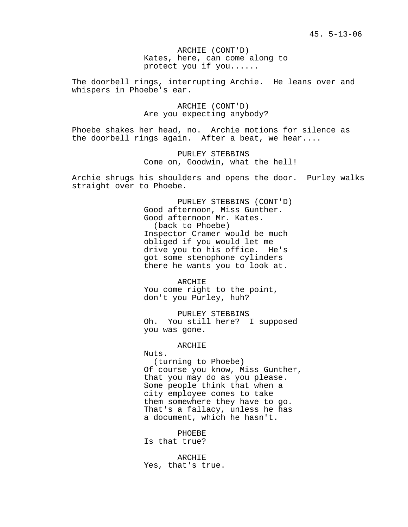ARCHIE (CONT'D) Kates, here, can come along to protect you if you......

The doorbell rings, interrupting Archie. He leans over and whispers in Phoebe's ear.

> ARCHIE (CONT'D) Are you expecting anybody?

Phoebe shakes her head, no. Archie motions for silence as the doorbell rings again. After a beat, we hear....

> PURLEY STEBBINS Come on, Goodwin, what the hell!

Archie shrugs his shoulders and opens the door. Purley walks straight over to Phoebe.

> PURLEY STEBBINS (CONT'D) Good afternoon, Miss Gunther. Good afternoon Mr. Kates. (back to Phoebe) Inspector Cramer would be much obliged if you would let me drive you to his office. He's got some stenophone cylinders there he wants you to look at.

ARCHIE You come right to the point, don't you Purley, huh?

PURLEY STEBBINS Oh. You still here? I supposed you was gone.

#### ARCHIE

Nuts.

(turning to Phoebe) Of course you know, Miss Gunther, that you may do as you please. Some people think that when a city employee comes to take them somewhere they have to go. That's a fallacy, unless he has a document, which he hasn't.

PHOEBE Is that true?

ARCHIE Yes, that's true.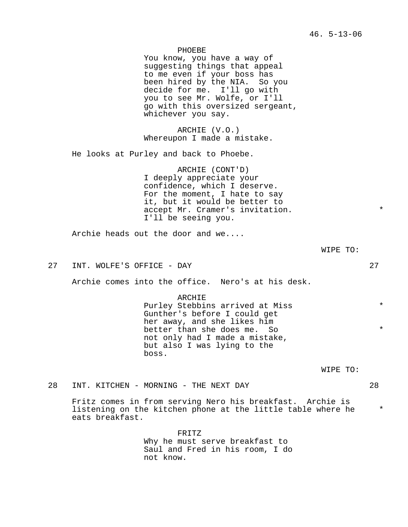46. 5-13-06 PHOEBE You know, you have a way of suggesting things that appeal to me even if your boss has been hired by the NIA. So you decide for me. I'll go with you to see Mr. Wolfe, or I'll go with this oversized sergeant, whichever you say. ARCHIE (V.O.) Whereupon I made a mistake. He looks at Purley and back to Phoebe. ARCHIE (CONT'D) I deeply appreciate your confidence, which I deserve. For the moment, I hate to say it, but it would be better to accept Mr. Cramer's invitation. I'll be seeing you. Archie heads out the door and we.... WIPE TO: 27 INT. WOLFE'S OFFICE - DAY 27 Archie comes into the office. Nero's at his desk.

> ARCHIE Purley Stebbins arrived at Miss  $*$ Gunther's before I could get her away, and she likes him better than she does me. So  $*$ not only had I made a mistake, but also I was lying to the boss.

> > WIPE TO:

28 INT. KITCHEN - MORNING - THE NEXT DAY 28

Fritz comes in from serving Nero his breakfast. Archie is listening on the kitchen phone at the little table where he \* eats breakfast.

> FRITZ Why he must serve breakfast to Saul and Fred in his room, I do not know.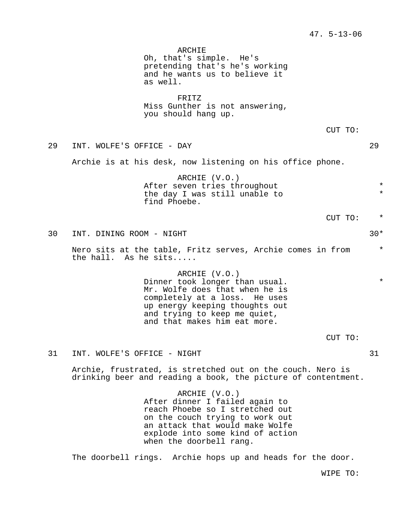ARCHIE Oh, that's simple. He's pretending that's he's working and he wants us to believe it as well. FRITZ Miss Gunther is not answering, you should hang up. CUT TO: 29 INT. WOLFE'S OFFICE - DAY 29 Archie is at his desk, now listening on his office phone. ARCHIE (V.O.) After seven tries throughout \* the day I was still unable to \* find Phoebe. CUT TO: \* 30 INT. DINING ROOM - NIGHT 30\* Nero sits at the table, Fritz serves, Archie comes in from \* the hall. As he sits..... ARCHIE (V.O.) Dinner took longer than usual.  $*$ Mr. Wolfe does that when he is completely at a loss. He uses up energy keeping thoughts out and trying to keep me quiet, and that makes him eat more. CUT TO: 31 INT. WOLFE'S OFFICE - NIGHT 31 Archie, frustrated, is stretched out on the couch. Nero is drinking beer and reading a book, the picture of contentment. ARCHIE (V.O.) After dinner I failed again to reach Phoebe so I stretched out

on the couch trying to work out an attack that would make Wolfe explode into some kind of action when the doorbell rang.

The doorbell rings. Archie hops up and heads for the door.

WIPE TO: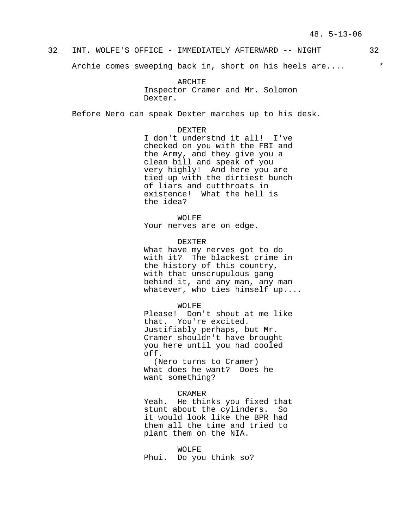# 32 INT. WOLFE'S OFFICE - IMMEDIATELY AFTERWARD -- NIGHT 32

Archie comes sweeping back in, short on his heels are....  $*$ 

ARCHIE Inspector Cramer and Mr. Solomon Dexter.

Before Nero can speak Dexter marches up to his desk.

DEXTER

I don't understnd it all! I've checked on you with the FBI and the Army, and they give you a clean bill and speak of you very highly! And here you are tied up with the dirtiest bunch of liars and cutthroats in existence! What the hell is the idea?

WOLFE Your nerves are on edge.

#### DEXTER

What have my nerves got to do with it? The blackest crime in the history of this country, with that unscrupulous gang behind it, and any man, any man whatever, who ties himself up....

## WOLFE

Please! Don't shout at me like that. You're excited. Justifiably perhaps, but Mr. Cramer shouldn't have brought you here until you had cooled off.

(Nero turns to Cramer) What does he want? Does he want something?

#### CRAMER

Yeah. He thinks you fixed that stunt about the cylinders. So it would look like the BPR had them all the time and tried to plant them on the NIA.

WOLFE Phui. Do you think so?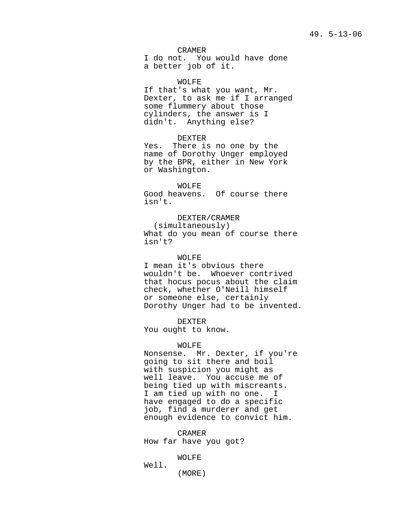CRAMER

I do not. You would have done a better job of it.

WOLFE

If that's what you want, Mr. Dexter, to ask me if I arranged some flummery about those cylinders, the answer is I didn't. Anything else?

DEXTER Yes. There is no one by the name of Dorothy Unger employed by the BPR, either in New York or Washington.

WOLFE Good heavens. Of course there isn't.

DEXTER/CRAMER (simultaneously) What do you mean of course there isn't?

WOLFE

I mean it's obvious there wouldn't be. Whoever contrived that hocus pocus about the claim check, whether O'Neill himself or someone else, certainly Dorothy Unger had to be invented.

DEXTER You ought to know.

WOLFE

Nonsense. Mr. Dexter, if you're going to sit there and boil with suspicion you might as well leave. You accuse me of being tied up with miscreants. I am tied up with no one. I have engaged to do a specific job, find a murderer and get enough evidence to convict him.

CRAMER How far have you got?

WOLFE

Well. (MORE)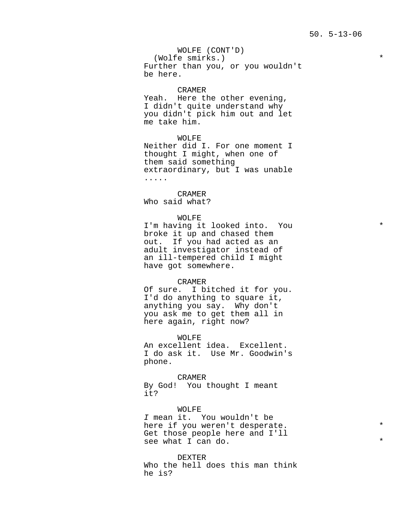WOLFE (CONT'D) (Wolfe smirks.) \* Further than you, or you wouldn't be here.

## CRAMER

Yeah. Here the other evening, I didn't quite understand why you didn't pick him out and let me take him.

WOLFE Neither did I. For one moment I thought I might, when one of them said something extraordinary, but I was unable .....

CRAMER Who said what?

### WOLFE

I'm having it looked into. You  $*$ broke it up and chased them out. If you had acted as an adult investigator instead of an ill-tempered child I might have got somewhere.

#### CRAMER

Of sure. I bitched it for you. I'd do anything to square it, anything you say. Why don't you ask me to get them all in here again, right now?

WOLFE An excellent idea. Excellent. I do ask it. Use Mr. Goodwin's phone.

CRAMER By God! You thought I meant it?

WOLFE I mean it. You wouldn't be here if you weren't desperate. Get those people here and I'll see what I can do.  $*$ 

DEXTER Who the hell does this man think he is?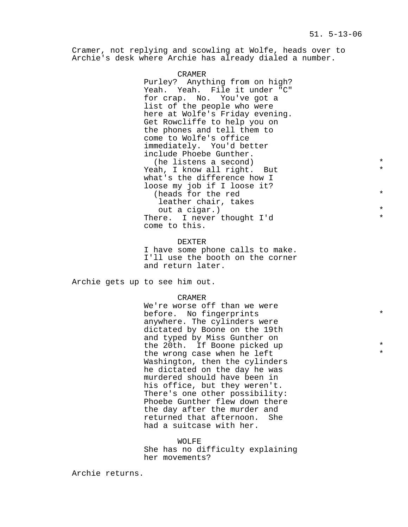Cramer, not replying and scowling at Wolfe, heads over to Archie's desk where Archie has already dialed a number.

> CRAMER Purley? Anything from on high? Yeah. Yeah. File it under "C" for crap. No. You've got a list of the people who were here at Wolfe's Friday evening. Get Rowcliffe to help you on the phones and tell them to come to Wolfe's office immediately. You'd better include Phoebe Gunther. (he listens a second)  $*$ <br>  $\frac{1}{2}$   $\frac{1}{2}$   $\frac{1}{2}$   $\frac{1}{2}$   $\frac{1}{2}$   $\frac{1}{2}$   $\frac{1}{2}$   $\frac{1}{2}$   $\frac{1}{2}$   $\frac{1}{2}$   $\frac{1}{2}$   $\frac{1}{2}$   $\frac{1}{2}$   $\frac{1}{2}$   $\frac{1}{2}$   $\frac{1}{2}$   $\frac{1}{2}$   $\frac{1}{2}$   $\frac{1}{2}$   $\frac{$ Yeah, I know all right. But what's the difference how I loose my job if I loose it? (heads for the red  $*$ leather chair, takes out a cigar.) \* There. I never thought I'd come to this.

DEXTER I have some phone calls to make. I'll use the booth on the corner and return later.

Archie gets up to see him out.

#### CRAMER

We're worse off than we were before. No fingerprints \* anywhere. The cylinders were dictated by Boone on the 19th and typed by Miss Gunther on the 20th. If Boone picked up  $*$ the wrong case when he left Washington, then the cylinders he dictated on the day he was murdered should have been in his office, but they weren't. There's one other possibility: Phoebe Gunther flew down there the day after the murder and returned that afternoon. She had a suitcase with her.

WOLFE She has no difficulty explaining her movements?

Archie returns.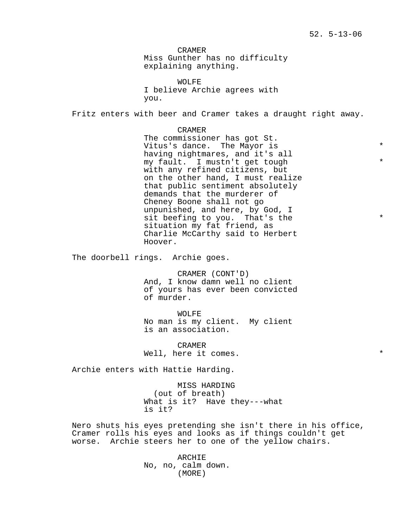CRAMER Miss Gunther has no difficulty explaining anything.

WOLFE I believe Archie agrees with you.

Fritz enters with beer and Cramer takes a draught right away.

CRAMER The commissioner has got St. Vitus's dance. The Mayor is  $*$ having nightmares, and it's all my fault. I mustn't get tough \* with any refined citizens, but on the other hand, I must realize that public sentiment absolutely demands that the murderer of Cheney Boone shall not go unpunished, and here, by God, I sit beefing to you. That's the  $*$ situation my fat friend, as Charlie McCarthy said to Herbert Hoover.

The doorbell rings. Archie goes.

CRAMER (CONT'D) And, I know damn well no client of yours has ever been convicted of murder.

WOLFE No man is my client. My client is an association.

CRAMER Well, here it comes.

Archie enters with Hattie Harding.

MISS HARDING (out of breath) What is it? Have they---what is it?

Nero shuts his eyes pretending she isn't there in his office, Cramer rolls his eyes and looks as if things couldn't get worse. Archie steers her to one of the yellow chairs.

> ARCHIE No, no, calm down. (MORE)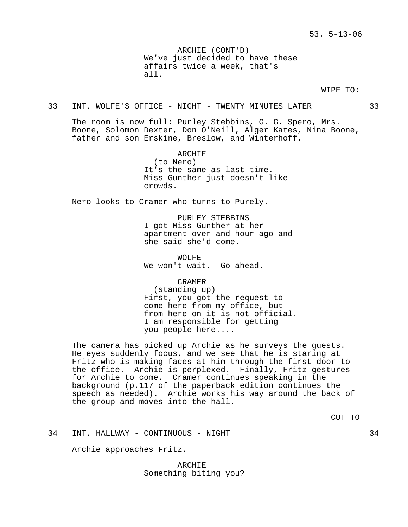ARCHIE (CONT'D) We've just decided to have these affairs twice a week, that's all.

### WIPE TO:

## 33 INT. WOLFE'S OFFICE - NIGHT - TWENTY MINUTES LATER 33

The room is now full: Purley Stebbins, G. G. Spero, Mrs. Boone, Solomon Dexter, Don O'Neill, Alger Kates, Nina Boone, father and son Erskine, Breslow, and Winterhoff.

> ARCHIE (to Nero) It's the same as last time.

Miss Gunther just doesn't like crowds.

Nero looks to Cramer who turns to Purely.

PURLEY STEBBINS I got Miss Gunther at her apartment over and hour ago and she said she'd come.

WOLFE We won't wait. Go ahead.

CRAMER

(standing up) First, you got the request to come here from my office, but from here on it is not official. I am responsible for getting you people here....

The camera has picked up Archie as he surveys the guests. He eyes suddenly focus, and we see that he is staring at Fritz who is making faces at him through the first door to the office. Archie is perplexed. Finally, Fritz gestures for Archie to come. Cramer continues speaking in the background (p.117 of the paperback edition continues the speech as needed). Archie works his way around the back of the group and moves into the hall.

CUT TO

34 INT. HALLWAY - CONTINUOUS - NIGHT 34

Archie approaches Fritz.

ARCHIE Something biting you?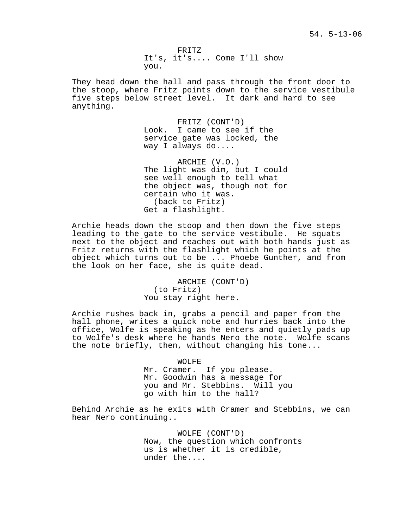FRITZ It's, it's.... Come I'll show you.

They head down the hall and pass through the front door to the stoop, where Fritz points down to the service vestibule five steps below street level. It dark and hard to see anything.

> FRITZ (CONT'D) Look. I came to see if the service gate was locked, the way I always do....

ARCHIE (V.O.) The light was dim, but I could see well enough to tell what the object was, though not for certain who it was. (back to Fritz) Get a flashlight.

Archie heads down the stoop and then down the five steps leading to the gate to the service vestibule. He squats next to the object and reaches out with both hands just as Fritz returns with the flashlight which he points at the object which turns out to be ... Phoebe Gunther, and from the look on her face, she is quite dead.

> ARCHIE (CONT'D) (to Fritz) You stay right here.

Archie rushes back in, grabs a pencil and paper from the hall phone, writes a quick note and hurries back into the office, Wolfe is speaking as he enters and quietly pads up to Wolfe's desk where he hands Nero the note. Wolfe scans the note briefly, then, without changing his tone...

WOLFE

Mr. Cramer. If you please. Mr. Goodwin has a message for you and Mr. Stebbins. Will you go with him to the hall?

Behind Archie as he exits with Cramer and Stebbins, we can hear Nero continuing..

> WOLFE (CONT'D) Now, the question which confronts us is whether it is credible, under the....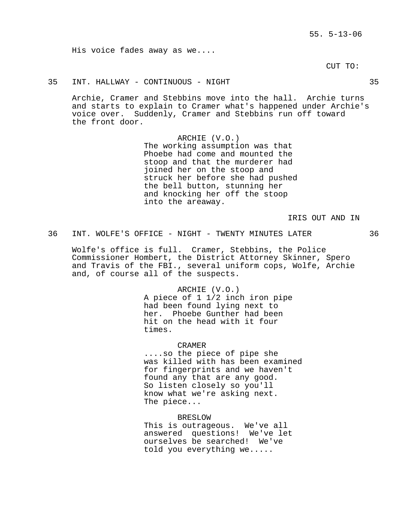His voice fades away as we....

CUT TO:

## 35 INT. HALLWAY - CONTINUOUS - NIGHT 35

Archie, Cramer and Stebbins move into the hall. Archie turns and starts to explain to Cramer what's happened under Archie's voice over. Suddenly, Cramer and Stebbins run off toward the front door.

> ARCHIE (V.O.) The working assumption was that Phoebe had come and mounted the stoop and that the murderer had joined her on the stoop and struck her before she had pushed the bell button, stunning her and knocking her off the stoop into the areaway.

> > IRIS OUT AND IN

## 36 INT. WOLFE'S OFFICE - NIGHT - TWENTY MINUTES LATER 36

Wolfe's office is full. Cramer, Stebbins, the Police Commissioner Hombert, the District Attorney Skinner, Spero and Travis of the FBI., several uniform cops, Wolfe, Archie and, of course all of the suspects.

> ARCHIE (V.O.) A piece of 1 1/2 inch iron pipe had been found lying next to her. Phoebe Gunther had been hit on the head with it four times.

### CRAMER

....so the piece of pipe she was killed with has been examined for fingerprints and we haven't found any that are any good. So listen closely so you'll know what we're asking next. The piece...

BRESLOW This is outrageous. We've all answered questions! We've let ourselves be searched! We've told you everything we.....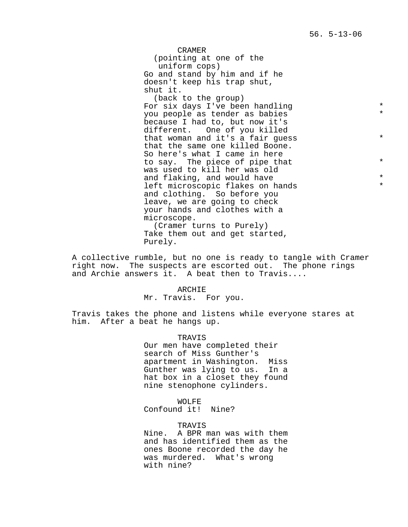CRAMER (pointing at one of the uniform cops) Go and stand by him and if he doesn't keep his trap shut, shut it.

(back to the group) For six days I've been handling \* you people as tender as babies \* because I had to, but now it's different. One of you killed that woman and it's a fair quess  $*$ that the same one killed Boone. So here's what I came in here to say. The piece of pipe that  $*$ was used to kill her was old and flaking, and would have  $*$ left microscopic flakes on hands and clothing. So before you leave, we are going to check your hands and clothes with a microscope. (Cramer turns to Purely) Take them out and get started,

Purely.

A collective rumble, but no one is ready to tangle with Cramer right now. The suspects are escorted out. The phone rings and Archie answers it. A beat then to Travis....

### ARCHIE

Mr. Travis. For you.

Travis takes the phone and listens while everyone stares at him. After a beat he hangs up.

### TRAVIS

Our men have completed their search of Miss Gunther's apartment in Washington. Miss Gunther was lying to us. In a hat box in a closet they found nine stenophone cylinders.

## WOLFE

Confound it! Nine?

### TRAVIS

Nine. A BPR man was with them and has identified them as the ones Boone recorded the day he was murdered. What's wrong with nine?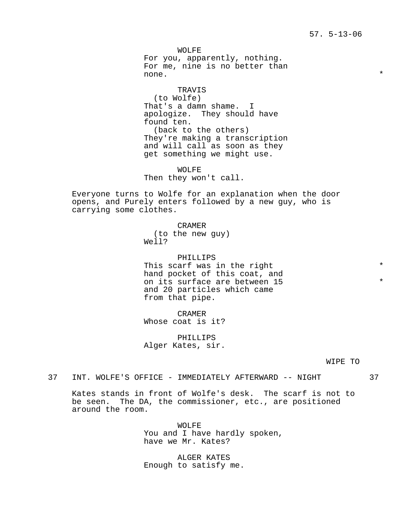WOLFE For you, apparently, nothing. For me, nine is no better than none.  $\star$ 

TRAVIS (to Wolfe) That's a damn shame. I apologize. They should have found ten. (back to the others) They're making a transcription and will call as soon as they get something we might use.

WOLFE Then they won't call.

Everyone turns to Wolfe for an explanation when the door opens, and Purely enters followed by a new guy, who is carrying some clothes.

> CRAMER (to the new guy) Well?

PHILLIPS This scarf was in the right  $*$ hand pocket of this coat, and on its surface are between 15  $*$ and 20 particles which came from that pipe.

CRAMER Whose coat is it?

PHILLIPS Alger Kates, sir.

WIPE TO

37 INT. WOLFE'S OFFICE - IMMEDIATELY AFTERWARD -- NIGHT 37

Kates stands in front of Wolfe's desk. The scarf is not to be seen. The DA, the commissioner, etc., are positioned around the room.

> WOLFE You and I have hardly spoken, have we Mr. Kates?

ALGER KATES Enough to satisfy me.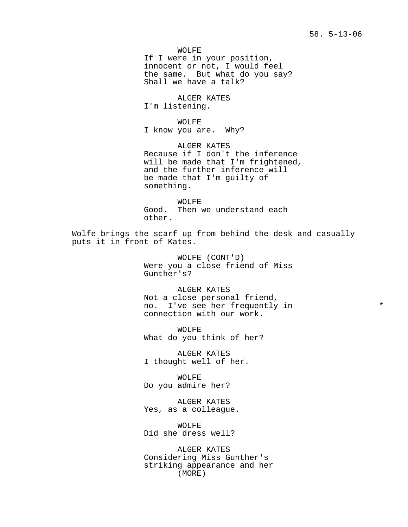WOLFE If I were in your position, innocent or not, I would feel the same. But what do you say? Shall we have a talk?

ALGER KATES I'm listening.

WOLFE I know you are. Why?

ALGER KATES Because if I don't the inference will be made that I'm frightened, and the further inference will be made that I'm guilty of something.

WOLFE Good. Then we understand each other.

Wolfe brings the scarf up from behind the desk and casually puts it in front of Kates.

> WOLFE (CONT'D) Were you a close friend of Miss Gunther's?

ALGER KATES Not a close personal friend, no. I've see her frequently in  $*$ connection with our work.

WOLFE What do you think of her?

ALGER KATES I thought well of her.

WOLFE Do you admire her?

ALGER KATES Yes, as a colleague.

WOLFE Did she dress well?

ALGER KATES Considering Miss Gunther's striking appearance and her (MORE)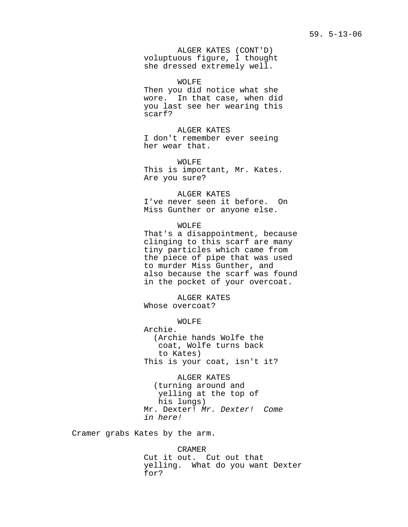ALGER KATES (CONT'D) voluptuous figure, I thought she dressed extremely well.

WOLFE Then you did notice what she wore. In that case, when did you last see her wearing this scarf?

ALGER KATES I don't remember ever seeing her wear that.

WOLFE This is important, Mr. Kates. Are you sure?

ALGER KATES I've never seen it before. On Miss Gunther or anyone else.

WOLFE That's a disappointment, because clinging to this scarf are many tiny particles which came from the piece of pipe that was used to murder Miss Gunther, and also because the scarf was found in the pocket of your overcoat.

ALGER KATES Whose overcoat?

WOLFE Archie. (Archie hands Wolfe the coat, Wolfe turns back to Kates) This is your coat, isn't it?

ALGER KATES (turning around and yelling at the top of his lungs) Mr. Dexter! Mr. Dexter! Come in here!

Cramer grabs Kates by the arm.

CRAMER Cut it out. Cut out that yelling. What do you want Dexter for?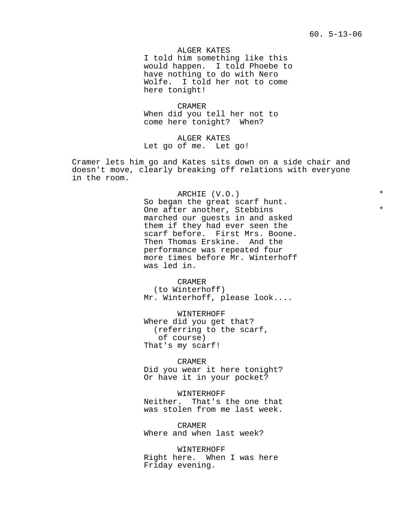ALGER KATES I told him something like this would happen. I told Phoebe to have nothing to do with Nero Wolfe. I told her not to come here tonight!

CRAMER When did you tell her not to come here tonight? When?

ALGER KATES Let go of me. Let go!

Cramer lets him go and Kates sits down on a side chair and doesn't move, clearly breaking off relations with everyone in the room.

ARCHIE (V.O.) \*

So began the great scarf hunt. One after another, Stebbins marched our guests in and asked them if they had ever seen the scarf before. First Mrs. Boone. Then Thomas Erskine. And the performance was repeated four more times before Mr. Winterhoff was led in.

CRAMER (to Winterhoff) Mr. Winterhoff, please look....

WINTERHOFF Where did you get that? (referring to the scarf, of course) That's my scarf!

CRAMER

Did you wear it here tonight? Or have it in your pocket?

WINTERHOFF Neither. That's the one that was stolen from me last week.

CRAMER Where and when last week?

WINTERHOFF Right here. When I was here Friday evening.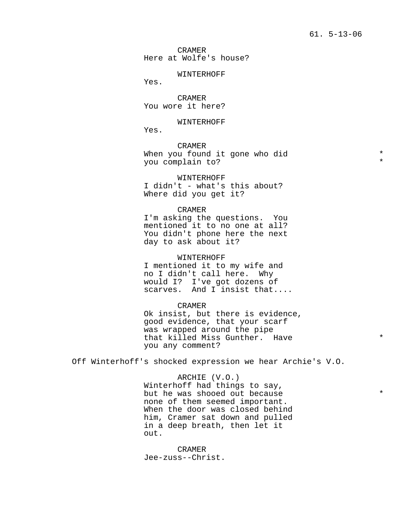CRAMER Here at Wolfe's house?

#### WINTERHOFF

Yes.

CRAMER You wore it here?

## WINTERHOFF

Yes.

CRAMER When you found it gone who did  $*$ you complain to? \*

WINTERHOFF I didn't - what's this about? Where did you get it?

#### CRAMER

I'm asking the questions. You mentioned it to no one at all? You didn't phone here the next day to ask about it?

#### WINTERHOFF

I mentioned it to my wife and no I didn't call here. Why would I? I've got dozens of scarves. And I insist that....

#### CRAMER

Ok insist, but there is evidence, good evidence, that your scarf was wrapped around the pipe that killed Miss Gunther. Have  $*$ you any comment?

Off Winterhoff's shocked expression we hear Archie's V.O.

ARCHIE (V.O.) Winterhoff had things to say, but he was shooed out because  $*$ none of them seemed important. When the door was closed behind him, Cramer sat down and pulled in a deep breath, then let it out.

CRAMER Jee-zuss--Christ.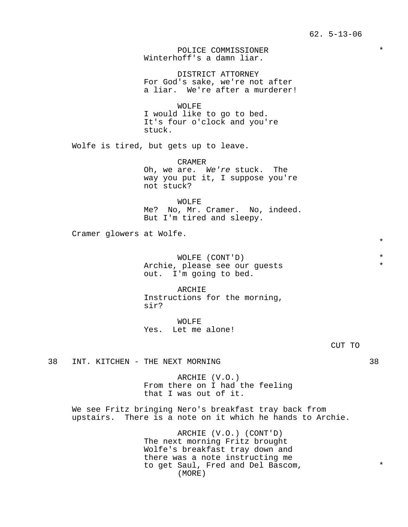POLICE COMMISSIONER \* Winterhoff's a damn liar.

DISTRICT ATTORNEY For God's sake, we're not after a liar. We're after a murderer!

WOLFE I would like to go to bed. It's four o'clock and you're stuck.

Wolfe is tired, but gets up to leave.

CRAMER Oh, we are. We're stuck. The way you put it, I suppose you're not stuck?

WOLFE Me? No, Mr. Cramer. No, indeed. But I'm tired and sleepy.

Cramer glowers at Wolfe.

WOLFE (CONT'D) \* Archie, please see our guests  $*$ out. I'm going to bed.

ARCHIE Instructions for the morning, sir?

WOLFE Yes. Let me alone!

38 INT. KITCHEN - THE NEXT MORNING **38** 

ARCHIE (V.O.) From there on I had the feeling that I was out of it.

We see Fritz bringing Nero's breakfast tray back from upstairs. There is a note on it which he hands to Archie.

> ARCHIE (V.O.) (CONT'D) The next morning Fritz brought Wolfe's breakfast tray down and there was a note instructing me to get Saul, Fred and Del Bascom,  $*$ (MORE)

\*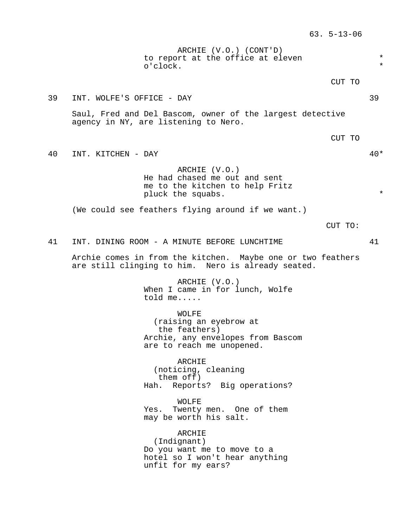ARCHIE (V.O.) (CONT'D) to report at the office at eleven  $*$ o'clock.

CUT TO

39 INT. WOLFE'S OFFICE - DAY 39

Saul, Fred and Del Bascom, owner of the largest detective agency in NY, are listening to Nero.

CUT TO

40 INT. KITCHEN - DAY 40\*

ARCHIE (V.O.) He had chased me out and sent me to the kitchen to help Fritz pluck the squabs.  $*$ 

(We could see feathers flying around if we want.)

CUT TO:

41 INT. DINING ROOM - A MINUTE BEFORE LUNCHTIME 41

Archie comes in from the kitchen. Maybe one or two feathers are still clinging to him. Nero is already seated.

> ARCHIE (V.O.) When I came in for lunch, Wolfe told me.....

WOLFE (raising an eyebrow at the feathers) Archie, any envelopes from Bascom are to reach me unopened.

ARCHIE (noticing, cleaning them off) Hah. Reports? Big operations?

WOLFE Yes. Twenty men. One of them may be worth his salt.

ARCHIE (Indignant) Do you want me to move to a hotel so I won't hear anything unfit for my ears?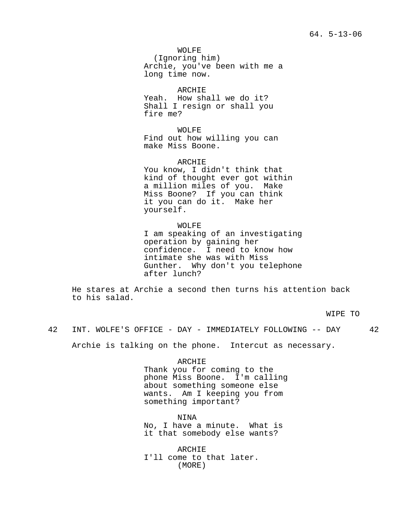WOLFE (Ignoring him) Archie, you've been with me a long time now.

ARCHIE Yeah. How shall we do it? Shall I resign or shall you fire me?

WOLFE Find out how willing you can make Miss Boone.

ARCHIE You know, I didn't think that kind of thought ever got within a million miles of you. Make Miss Boone? If you can think it you can do it. Make her yourself.

WOLFE I am speaking of an investigating operation by gaining her confidence. I need to know how intimate she was with Miss Gunther. Why don't you telephone after lunch?

He stares at Archie a second then turns his attention back to his salad.

WIPE TO

42 INT. WOLFE'S OFFICE - DAY - IMMEDIATELY FOLLOWING -- DAY 42

Archie is talking on the phone. Intercut as necessary.

ARCHIE

Thank you for coming to the phone Miss Boone. I'm calling about something someone else wants. Am I keeping you from something important?

NINA No, I have a minute. What is it that somebody else wants?

ARCHIE I'll come to that later. (MORE)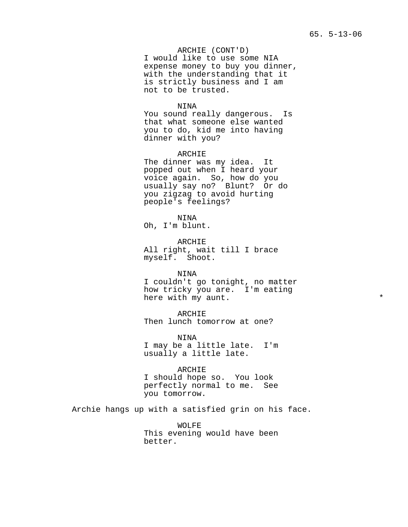ARCHIE (CONT'D) I would like to use some NIA expense money to buy you dinner, with the understanding that it is strictly business and I am not to be trusted.

## NINA

You sound really dangerous. Is that what someone else wanted you to do, kid me into having dinner with you?

#### ARCHIE

The dinner was my idea. It popped out when I heard your voice again. So, how do you usually say no? Blunt? Or do you zigzag to avoid hurting people's feelings?

NINA Oh, I'm blunt.

ARCHIE All right, wait till I brace myself. Shoot.

### NINA

I couldn't go tonight, no matter how tricky you are. I'm eating here with my aunt.

ARCHIE Then lunch tomorrow at one?

NINA I may be a little late. I'm usually a little late.

ARCHIE I should hope so. You look perfectly normal to me. See you tomorrow.

Archie hangs up with a satisfied grin on his face.

WOLFE This evening would have been better.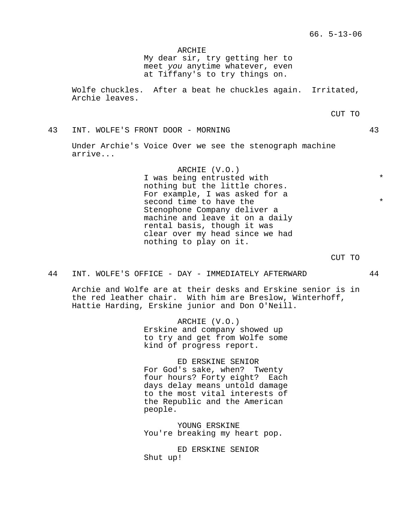ARCHIE

My dear sir, try getting her to meet you anytime whatever, even at Tiffany's to try things on.

Wolfe chuckles. After a beat he chuckles again. Irritated, Archie leaves.

CUT TO

43 INT. WOLFE'S FRONT DOOR - MORNING 43

Under Archie's Voice Over we see the stenograph machine arrive...

> ARCHIE (V.O.) I was being entrusted with  $*$ nothing but the little chores. For example, I was asked for a second time to have the  $*$ Stenophone Company deliver a machine and leave it on a daily rental basis, though it was clear over my head since we had nothing to play on it.

> > CUT TO

44 INT. WOLFE'S OFFICE - DAY - IMMEDIATELY AFTERWARD 44

Archie and Wolfe are at their desks and Erskine senior is in the red leather chair. With him are Breslow, Winterhoff, Hattie Harding, Erskine junior and Don O'Neill.

> ARCHIE (V.O.) Erskine and company showed up to try and get from Wolfe some kind of progress report.

ED ERSKINE SENIOR For God's sake, when? Twenty four hours? Forty eight? Each days delay means untold damage to the most vital interests of the Republic and the American people.

YOUNG ERSKINE You're breaking my heart pop.

ED ERSKINE SENIOR Shut up!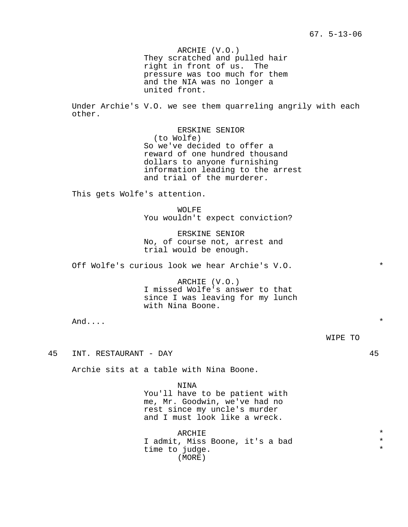ARCHIE (V.O.) They scratched and pulled hair right in front of us. The pressure was too much for them and the NIA was no longer a united front.

Under Archie's V.O. we see them quarreling angrily with each other.

> ERSKINE SENIOR (to Wolfe) So we've decided to offer a reward of one hundred thousand dollars to anyone furnishing information leading to the arrest and trial of the murderer.

This gets Wolfe's attention.

WOLFE You wouldn't expect conviction?

ERSKINE SENIOR No, of course not, arrest and trial would be enough.

Off Wolfe's curious look we hear Archie's V.O. \*

ARCHIE (V.O.) I missed Wolfe's answer to that since I was leaving for my lunch with Nina Boone.

 $\text{And...}$   $\blacksquare$ 

WIPE TO

45 INT. RESTAURANT - DAY 45

Archie sits at a table with Nina Boone.

NINA You'll have to be patient with me, Mr. Goodwin, we've had no rest since my uncle's murder and I must look like a wreck.

ARCHIE **\*** I admit, Miss Boone, it's a bad \* time to judge. (MORE)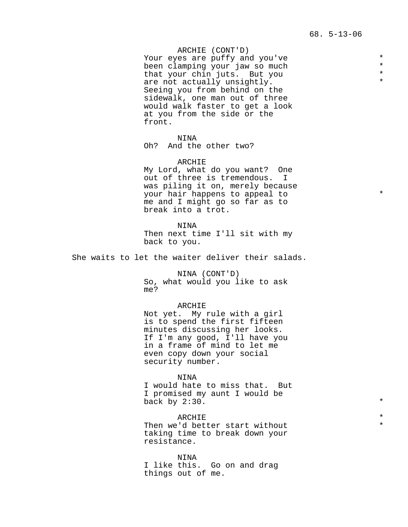ARCHIE (CONT'D)

Your eyes are puffy and you've  $*$ <br>been clamping your jaw so much  $*$ been clamping your jaw so much<br>that your chin juts. But you that your chin juts. But you  $*$ are not actually unsightly. Seeing you from behind on the sidewalk, one man out of three would walk faster to get a look at you from the side or the front.

NINA

Oh? And the other two?

ARCHIE My Lord, what do you want? One out of three is tremendous. I was piling it on, merely because your hair happens to appeal to  $*$ me and I might go so far as to break into a trot.

NINA Then next time I'll sit with my back to you.

She waits to let the waiter deliver their salads.

NINA (CONT'D) So, what would you like to ask me?

ARCHIE

Not yet. My rule with a girl is to spend the first fifteen minutes discussing her looks. If I'm any good, I'll have you in a frame of mind to let me even copy down your social security number.

NINA I would hate to miss that. But I promised my aunt I would be back by  $2:30$ .  $*$ 

ARCHIE  $\qquad \qquad \star$ Then we'd better start without taking time to break down your resistance.

NINA I like this. Go on and drag things out of me.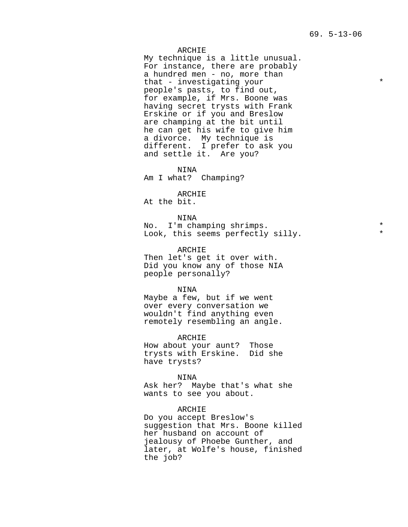## ARCHIE

My technique is a little unusual. For instance, there are probably a hundred men - no, more than that - investigating your  $*$ people's pasts, to find out, for example, if Mrs. Boone was having secret trysts with Frank Erskine or if you and Breslow are champing at the bit until he can get his wife to give him a divorce. My technique is different. I prefer to ask you and settle it. Are you?

NINA

Am I what? Champing?

ARCHIE

At the bit.

NINA No. I'm champing shrimps. \* Look, this seems perfectly silly.

ARCHIE Then let's get it over with. Did you know any of those NIA people personally?

NINA

Maybe a few, but if we went over every conversation we wouldn't find anything even remotely resembling an angle.

ARCHIE How about your aunt? Those trysts with Erskine. Did she have trysts?

NINA Ask her? Maybe that's what she wants to see you about.

ARCHIE Do you accept Breslow's suggestion that Mrs. Boone killed her husband on account of jealousy of Phoebe Gunther, and later, at Wolfe's house, finished the job?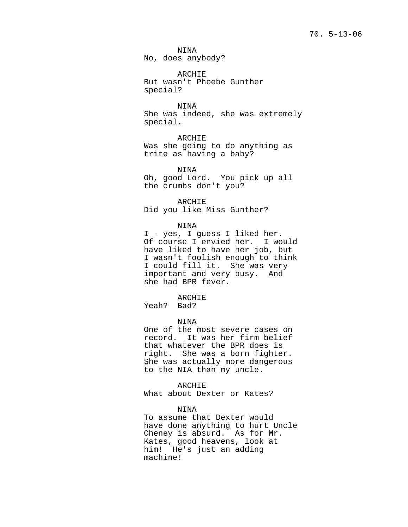NINA No, does anybody?

ARCHIE But wasn't Phoebe Gunther special?

NINA She was indeed, she was extremely special.

ARCHIE Was she going to do anything as trite as having a baby?

NINA Oh, good Lord. You pick up all the crumbs don't you?

ARCHIE Did you like Miss Gunther?

NINA

I - yes, I guess I liked her. Of course I envied her. I would have liked to have her job, but I wasn't foolish enough to think I could fill it. She was very important and very busy. And she had BPR fever.

ARCHIE

Yeah? Bad?

### NINA

One of the most severe cases on record. It was her firm belief that whatever the BPR does is right. She was a born fighter. She was actually more dangerous to the NIA than my uncle.

ARCHIE

What about Dexter or Kates?

NINA

To assume that Dexter would have done anything to hurt Uncle Cheney is absurd. As for Mr. Kates, good heavens, look at him! He's just an adding machine!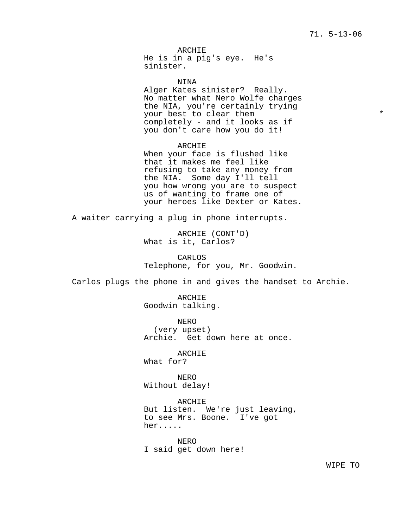ARCHIE He is in a pig's eye. He's sinister.

NINA Alger Kates sinister? Really. No matter what Nero Wolfe charges the NIA, you're certainly trying your best to clear them  $*$ completely - and it looks as if you don't care how you do it!

ARCHIE When your face is flushed like that it makes me feel like refusing to take any money from the NIA. Some day I'll tell you how wrong you are to suspect us of wanting to frame one of your heroes like Dexter or Kates.

A waiter carrying a plug in phone interrupts.

ARCHIE (CONT'D) What is it, Carlos?

CARLOS Telephone, for you, Mr. Goodwin.

Carlos plugs the phone in and gives the handset to Archie.

ARCHIE Goodwin talking.

NERO (very upset) Archie. Get down here at once.

ARCHIE

What for?

NERO Without delay!

ARCHIE But listen. We're just leaving, to see Mrs. Boone. I've got her.....

NERO I said get down here!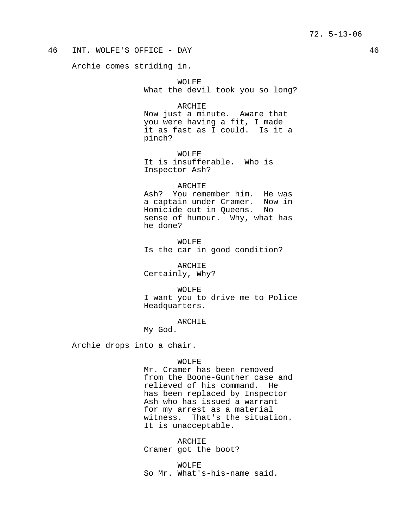## 46 INT. WOLFE'S OFFICE - DAY 46

Archie comes striding in.

WOLFE What the devil took you so long?

ARCHIE Now just a minute. Aware that you were having a fit, I made it as fast as I could. Is it a pinch?

WOLFE It is insufferable. Who is Inspector Ash?

ARCHIE Ash? You remember him. He was a captain under Cramer. Now in Homicide out in Queens. No sense of humour. Why, what has he done?

WOLFE Is the car in good condition?

ARCHIE Certainly, Why?

WOLFE I want you to drive me to Police Headquarters.

ARCHIE My God.

Archie drops into a chair.

#### WOLFE

Mr. Cramer has been removed from the Boone-Gunther case and relieved of his command. He has been replaced by Inspector Ash who has issued a warrant for my arrest as a material witness. That's the situation. It is unacceptable.

ARCHIE Cramer got the boot?

WOLFE So Mr. What's-his-name said.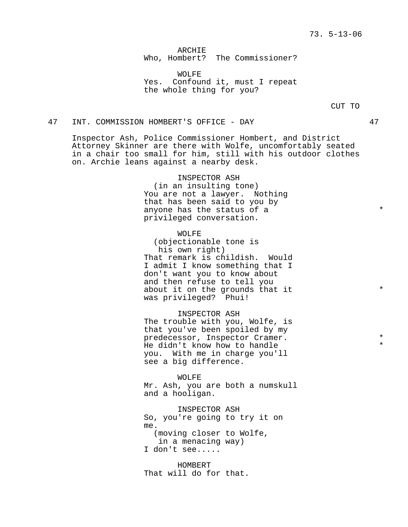ARCHIE Who, Hombert? The Commissioner?

WOLFE Yes. Confound it, must I repeat the whole thing for you?

CUT TO

## 47 INT. COMMISSION HOMBERT'S OFFICE - DAY 47

Inspector Ash, Police Commissioner Hombert, and District Attorney Skinner are there with Wolfe, uncomfortably seated in a chair too small for him, still with his outdoor clothes on. Archie leans against a nearby desk.

> INSPECTOR ASH (in an insulting tone) You are not a lawyer. Nothing that has been said to you by anyone has the status of a  $*$ privileged conversation.

> WOLFE (objectionable tone is his own right) That remark is childish. Would I admit I know something that I don't want you to know about and then refuse to tell you about it on the grounds that it  $*$ was privileged? Phui!

> INSPECTOR ASH The trouble with you, Wolfe, is that you've been spoiled by my predecessor, Inspector Cramer. \* He didn't know how to handle you. With me in charge you'll see a big difference.

WOLFE Mr. Ash, you are both a numskull and a hooligan.

INSPECTOR ASH So, you're going to try it on me. (moving closer to Wolfe, in a menacing way) I don't see.....

HOMBERT That will do for that.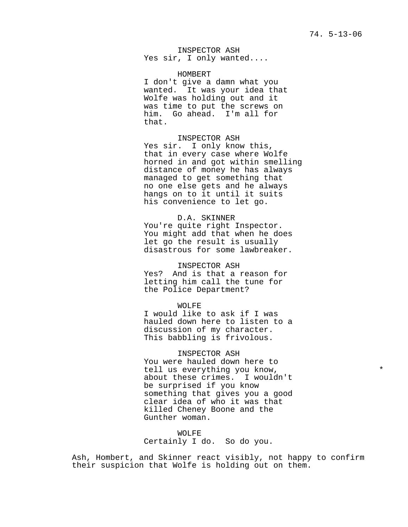INSPECTOR ASH Yes sir, I only wanted....

HOMBERT

I don't give a damn what you wanted. It was your idea that Wolfe was holding out and it was time to put the screws on him. Go ahead. I'm all for that.

INSPECTOR ASH Yes sir. I only know this, that in every case where Wolfe horned in and got within smelling distance of money he has always managed to get something that no one else gets and he always hangs on to it until it suits his convenience to let go.

D.A. SKINNER You're quite right Inspector. You might add that when he does let go the result is usually disastrous for some lawbreaker.

INSPECTOR ASH Yes? And is that a reason for letting him call the tune for the Police Department?

WOLFE I would like to ask if I was hauled down here to listen to a discussion of my character. This babbling is frivolous.

INSPECTOR ASH You were hauled down here to tell us everything you know,  $*$ about these crimes. I wouldn't be surprised if you know something that gives you a good clear idea of who it was that killed Cheney Boone and the Gunther woman.

WOLFE Certainly I do. So do you.

Ash, Hombert, and Skinner react visibly, not happy to confirm their suspicion that Wolfe is holding out on them.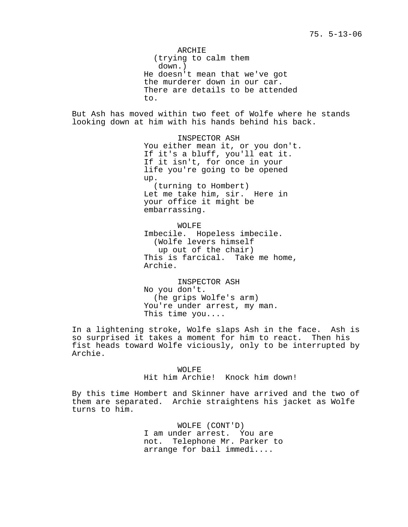ARCHIE (trying to calm them down.) He doesn't mean that we've got the murderer down in our car. There are details to be attended to.

But Ash has moved within two feet of Wolfe where he stands looking down at him with his hands behind his back.

> INSPECTOR ASH You either mean it, or you don't. If it's a bluff, you'll eat it. If it isn't, for once in your life you're going to be opened up. (turning to Hombert) Let me take him, sir. Here in your office it might be embarrassing.

WOLFE Imbecile. Hopeless imbecile. (Wolfe levers himself up out of the chair) This is farcical. Take me home, Archie.

INSPECTOR ASH No you don't. (he grips Wolfe's arm) You're under arrest, my man. This time you....

In a lightening stroke, Wolfe slaps Ash in the face. Ash is so surprised it takes a moment for him to react. Then his fist heads toward Wolfe viciously, only to be interrupted by Archie.

> WOLFE Hit him Archie! Knock him down!

By this time Hombert and Skinner have arrived and the two of them are separated. Archie straightens his jacket as Wolfe turns to him.

> WOLFE (CONT'D) I am under arrest. You are not. Telephone Mr. Parker to arrange for bail immedi....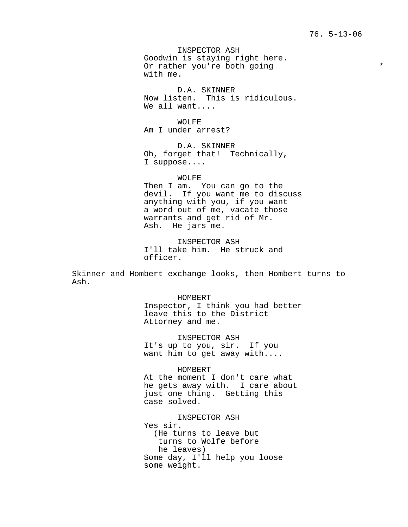INSPECTOR ASH Goodwin is staying right here. Or rather you're both going \* with me.

D.A. SKINNER Now listen. This is ridiculous. We all want....

WOLFE Am I under arrest?

D.A. SKINNER Oh, forget that! Technically, I suppose....

WOLFE Then I am. You can go to the devil. If you want me to discuss anything with you, if you want a word out of me, vacate those warrants and get rid of Mr. Ash. He jars me.

INSPECTOR ASH I'll take him. He struck and officer.

Skinner and Hombert exchange looks, then Hombert turns to Ash.

> HOMBERT Inspector, I think you had better leave this to the District Attorney and me.

INSPECTOR ASH It's up to you, sir. If you want him to get away with....

HOMBERT At the moment I don't care what he gets away with. I care about just one thing. Getting this case solved.

INSPECTOR ASH Yes sir. (He turns to leave but turns to Wolfe before he leaves) Some day, I'll help you loose some weight.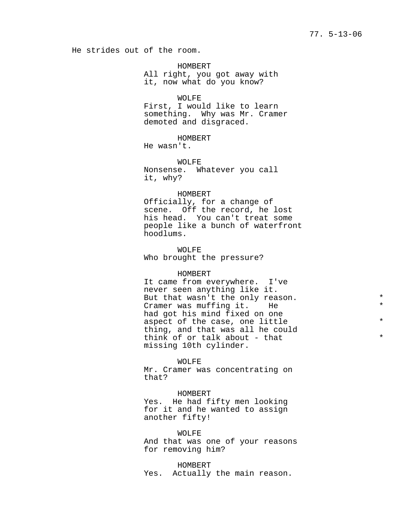He strides out of the room.

HOMBERT All right, you got away with it, now what do you know?

WOLFE First, I would like to learn something. Why was Mr. Cramer demoted and disgraced.

HOMBERT

He wasn't.

WOLFE Nonsense. Whatever you call it, why?

#### HOMBERT

Officially, for a change of scene. Off the record, he lost his head. You can't treat some people like a bunch of waterfront hoodlums.

WOLFE Who brought the pressure?

## HOMBERT

It came from everywhere. I've never seen anything like it. But that wasn't the only reason.  $*$ Cramer was muffing it. He  $*$ had got his mind fixed on one aspect of the case, one little  $*$ thing, and that was all he could think of or talk about - that  $*$ missing 10th cylinder.

#### WOLFE

Mr. Cramer was concentrating on that?

#### HOMBERT

Yes. He had fifty men looking for it and he wanted to assign another fifty!

WOLFE And that was one of your reasons for removing him?

HOMBERT Yes. Actually the main reason.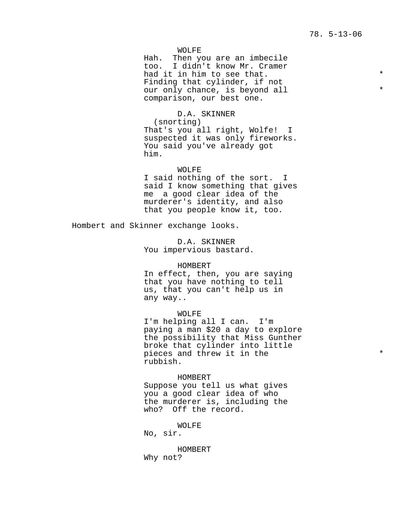WOLFE

Hah. Then you are an imbecile too. I didn't know Mr. Cramer had it in him to see that. Finding that cylinder, if not our only chance, is beyond all  $*$ comparison, our best one.

D.A. SKINNER (snorting) That's you all right, Wolfe! I suspected it was only fireworks. You said you've already got him.

WOLFE I said nothing of the sort. I said I know something that gives me a good clear idea of the murderer's identity, and also that you people know it, too.

Hombert and Skinner exchange looks.

D.A. SKINNER You impervious bastard.

#### HOMBERT

In effect, then, you are saying that you have nothing to tell us, that you can't help us in any way..

#### WOLFE

I'm helping all I can. I'm paying a man \$20 a day to explore the possibility that Miss Gunther broke that cylinder into little pieces and threw it in the  $*$ rubbish.

#### HOMBERT

Suppose you tell us what gives you a good clear idea of who the murderer is, including the who? Off the record.

WOLFE

No, sir.

## HOMBERT Why not?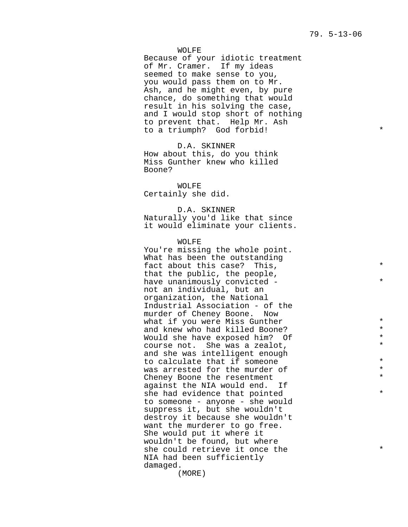## WOLFE

Because of your idiotic treatment of Mr. Cramer. If my ideas seemed to make sense to you, you would pass them on to Mr. Ash, and he might even, by pure chance, do something that would result in his solving the case, and I would stop short of nothing to prevent that. Help Mr. Ash to a triumph? God forbid!

D.A. SKINNER How about this, do you think Miss Gunther knew who killed Boone?

WOLFE Certainly she did.

## D.A. SKINNER

Naturally you'd like that since it would eliminate your clients.

WOLFE

You're missing the whole point. What has been the outstanding fact about this case? This,  $*$ that the public, the people, have unanimously convicted -  $*$ not an individual, but an organization, the National Industrial Association - of the murder of Cheney Boone. Now what if you were Miss Gunther \* and knew who had killed Boone?<br>Would she have exposed him? Of  $*$ Would she have exposed him? Of  $\star$ <br>Course not as a zealot  $\star$ course not. She was a zealot, \* and she was intelligent enough to calculate that if someone  $*$ was arrested for the murder of  $*$ <br>Chonou Boone the resentment Cheney Boone the resentment against the NIA would end. If she had evidence that pointed  $*$ to someone - anyone - she would suppress it, but she wouldn't destroy it because she wouldn't want the murderer to go free. She would put it where it wouldn't be found, but where she could retrieve it once the  $*$ NIA had been sufficiently damaged.

(MORE)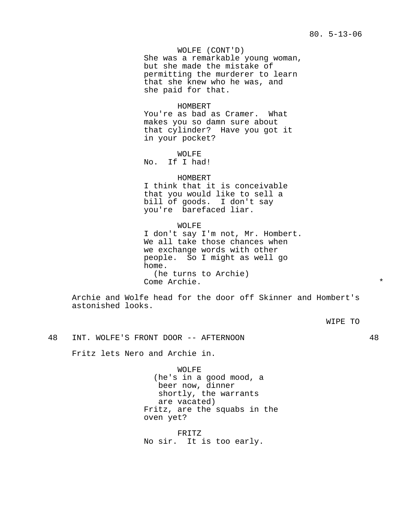WOLFE (CONT'D) She was a remarkable young woman, but she made the mistake of permitting the murderer to learn that she knew who he was, and she paid for that.

HOMBERT You're as bad as Cramer. What makes you so damn sure about that cylinder? Have you got it in your pocket?

WOLFE No. If I had!

#### HOMBERT

I think that it is conceivable that you would like to sell a bill of goods. I don't say you're barefaced liar.

WOLFE I don't say I'm not, Mr. Hombert. We all take those chances when we exchange words with other people. So I might as well go home. (he turns to Archie) Come Archie. \*

Archie and Wolfe head for the door off Skinner and Hombert's astonished looks.

WIPE TO

48 INT. WOLFE'S FRONT DOOR -- AFTERNOON 48

Fritz lets Nero and Archie in.

WOLFE (he's in a good mood, a beer now, dinner shortly, the warrants are vacated) Fritz, are the squabs in the oven yet?

FRITZ No sir. It is too early.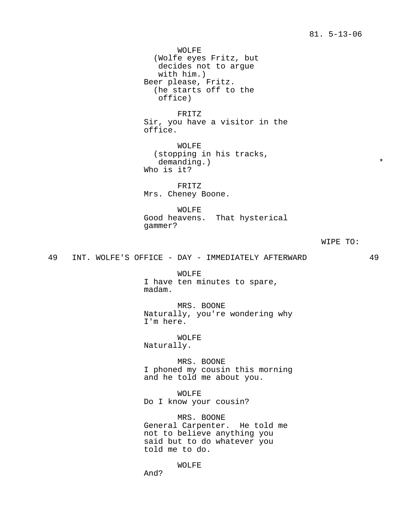WOLFE (Wolfe eyes Fritz, but decides not to argue with him.) Beer please, Fritz. (he starts off to the office) FRITZ Sir, you have a visitor in the office. WOLFE (stopping in his tracks, demanding.)  $*$ Who is it? FRITZ Mrs. Cheney Boone. WOLFE

Good heavens. That hysterical gammer?

#### WIPE TO:

49 INT. WOLFE'S OFFICE - DAY - IMMEDIATELY AFTERWARD 49

WOLFE I have ten minutes to spare, madam.

MRS. BOONE Naturally, you're wondering why I'm here.

WOLFE Naturally.

MRS. BOONE I phoned my cousin this morning and he told me about you.

WOLFE Do I know your cousin?

MRS. BOONE General Carpenter. He told me not to believe anything you said but to do whatever you told me to do.

WOLFE

And?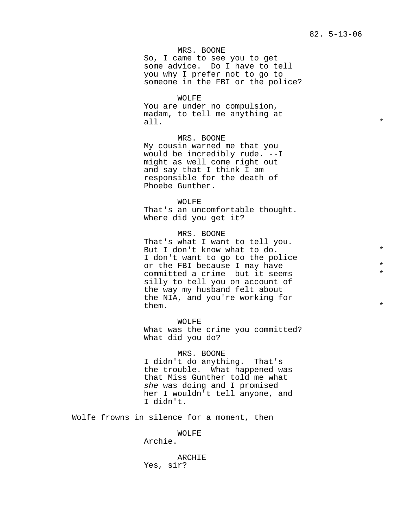MRS. BOONE So, I came to see you to get some advice. Do I have to tell you why I prefer not to go to someone in the FBI or the police?

WOLFE You are under no compulsion, madam, to tell me anything at all.  $\star$ 

MRS. BOONE My cousin warned me that you would be incredibly rude. --I might as well come right out and say that I think I am responsible for the death of Phoebe Gunther.

WOLFE That's an uncomfortable thought. Where did you get it?

MRS. BOONE That's what I want to tell you. But I don't know what to do.  $*$ I don't want to go to the police or the FBI because I may have  $\star$ <br>committed a crime but it seems  $\star$ committed a crime but it seems silly to tell you on account of the way my husband felt about the NIA, and you're working for  $\qquad \qquad$  them.

WOLFE What was the crime you committed? What did you do?

#### MRS. BOONE

I didn't do anything. That's the trouble. What happened was that Miss Gunther told me what she was doing and I promised her I wouldn't tell anyone, and I didn't.

Wolfe frowns in silence for a moment, then

## WOLFE

Archie.

ARCHIE Yes, sir?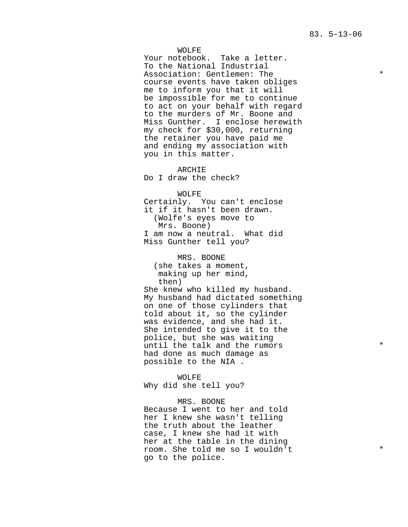#### WOLFE

Your notebook. Take a letter. To the National Industrial Association: Gentlemen: The \* course events have taken obliges me to inform you that it will be impossible for me to continue to act on your behalf with regard to the murders of Mr. Boone and Miss Gunther. I enclose herewith my check for \$30,000, returning the retainer you have paid me and ending my association with you in this matter.

ARCHIE Do I draw the check?

WOLFE

Certainly. You can't enclose it if it hasn't been drawn. (Wolfe's eyes move to Mrs. Boone) I am now a neutral. What did Miss Gunther tell you?

MRS. BOONE (she takes a moment, making up her mind, then)

She knew who killed my husband. My husband had dictated something on one of those cylinders that told about it, so the cylinder was evidence, and she had it. She intended to give it to the police, but she was waiting until the talk and the rumors  $*$ had done as much damage as possible to the NIA .

WOLFE Why did she tell you?

MRS. BOONE Because I went to her and told her I knew she wasn't telling the truth about the leather case, I knew she had it with her at the table in the dining room. She told me so I wouldn't \* go to the police.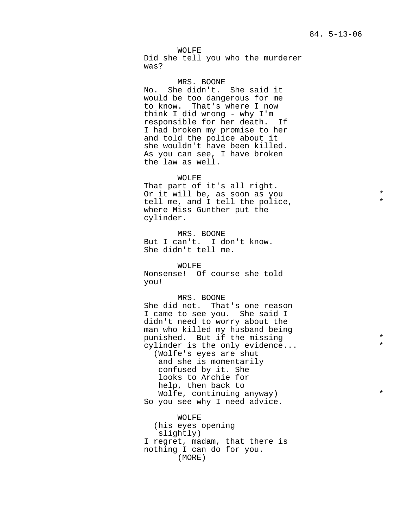WOLFE Did she tell you who the murderer was?

MRS. BOONE No. She didn't. She said it would be too dangerous for me to know. That's where I now think I did wrong - why I'm responsible for her death. If I had broken my promise to her and told the police about it she wouldn't have been killed. As you can see, I have broken the law as well.

WOLFE That part of it's all right. Or it will be, as soon as you  $*$ tell me, and I tell the police, where Miss Gunther put the cylinder.

MRS. BOONE But I can't. I don't know. She didn't tell me.

WOLFE Nonsense! Of course she told you!

MRS. BOONE She did not. That's one reason I came to see you. She said I didn't need to worry about the man who killed my husband being punished. But if the missing  $\sim$  \* cylinder is the only evidence... (Wolfe's eyes are shut and she is momentarily confused by it. She looks to Archie for help, then back to

Wolfe, continuing anyway) \* So you see why I need advice.

WOLFE (his eyes opening slightly) I regret, madam, that there is nothing I can do for you. (MORE)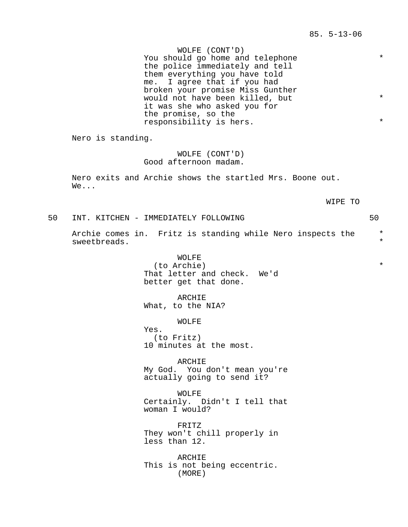WOLFE (CONT'D) You should go home and telephone  $*$ the police immediately and tell them everything you have told me. I agree that if you had broken your promise Miss Gunther would not have been killed, but \* it was she who asked you for the promise, so the responsibility is hers. \*

Nero is standing.

WOLFE (CONT'D) Good afternoon madam.

Nero exits and Archie shows the startled Mrs. Boone out. We...

WIPE TO

50 INT. KITCHEN - IMMEDIATELY FOLLOWING 50

Archie comes in. Fritz is standing while Nero inspects the \* sweetbreads. \*

> WOLFE (to Archie) \* That letter and check. We'd better get that done.

ARCHIE What, to the NIA?

WOLFE

Yes. (to Fritz) 10 minutes at the most.

ARCHIE My God. You don't mean you're actually going to send it?

WOLFE Certainly. Didn't I tell that woman I would?

FRITZ They won't chill properly in less than 12.

ARCHIE This is not being eccentric. (MORE)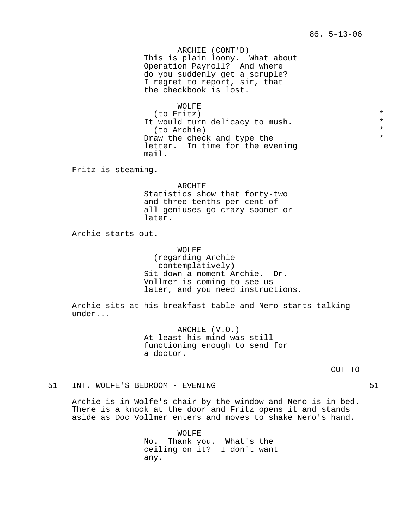ARCHIE (CONT'D) This is plain loony. What about Operation Payroll? And where do you suddenly get a scruple? I regret to report, sir, that the checkbook is lost.

WOLFE (to Fritz) \* It would turn delicacy to mush.<br>(to Archie) \* (to Archie) Draw the check and type the letter. In time for the evening mail.

Fritz is steaming.

ARCHIE Statistics show that forty-two and three tenths per cent of all geniuses go crazy sooner or later.

Archie starts out.

WOLFE (regarding Archie contemplatively) Sit down a moment Archie. Dr. Vollmer is coming to see us later, and you need instructions.

Archie sits at his breakfast table and Nero starts talking under...

> ARCHIE (V.O.) At least his mind was still functioning enough to send for a doctor.

51 INT. WOLFE'S BEDROOM - EVENING 61

Archie is in Wolfe's chair by the window and Nero is in bed. There is a knock at the door and Fritz opens it and stands aside as Doc Vollmer enters and moves to shake Nero's hand.

> WOLFE No. Thank you. What's the ceiling on it? I don't want any.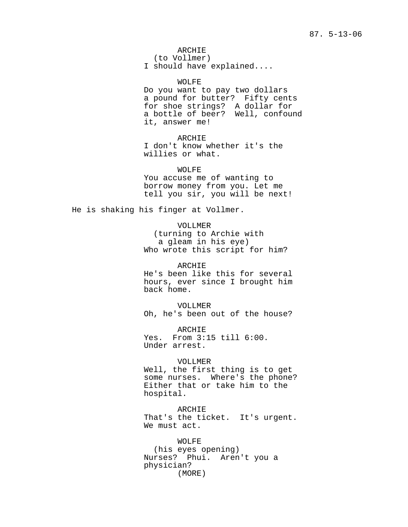ARCHIE

(to Vollmer) I should have explained....

WOLFE Do you want to pay two dollars a pound for butter? Fifty cents for shoe strings? A dollar for a bottle of beer? Well, confound it, answer me!

ARCHIE I don't know whether it's the willies or what.

WOLFE You accuse me of wanting to borrow money from you. Let me tell you sir, you will be next!

He is shaking his finger at Vollmer.

VOLLMER (turning to Archie with a gleam in his eye) Who wrote this script for him?

ARCHIE He's been like this for several hours, ever since I brought him back home.

VOLLMER Oh, he's been out of the house?

ARCHIE Yes. From 3:15 till 6:00. Under arrest.

VOLLMER

Well, the first thing is to get some nurses. Where's the phone? Either that or take him to the hospital.

ARCHIE That's the ticket. It's urgent. We must act.

WOLFE (his eyes opening) Nurses? Phui. Aren't you a physician? (MORE)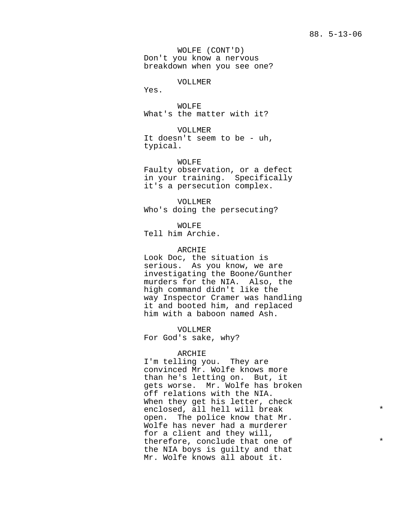WOLFE (CONT'D) Don't you know a nervous breakdown when you see one?

VOLLMER

Yes.

WOLFE What's the matter with it?

VOLLMER It doesn't seem to be - uh, typical.

WOLFE Faulty observation, or a defect in your training. Specifically it's a persecution complex.

VOLLMER Who's doing the persecuting?

WOLFE

Tell him Archie.

## ARCHIE

Look Doc, the situation is serious. As you know, we are investigating the Boone/Gunther murders for the NIA. Also, the high command didn't like the way Inspector Cramer was handling it and booted him, and replaced him with a baboon named Ash.

VOLLMER For God's sake, why?

#### ARCHIE

I'm telling you. They are convinced Mr. Wolfe knows more than he's letting on. But, it gets worse. Mr. Wolfe has broken off relations with the NIA. When they get his letter, check enclosed, all hell will break  $*$ open. The police know that Mr. Wolfe has never had a murderer for a client and they will, therefore, conclude that one of  $*$ the NIA boys is guilty and that Mr. Wolfe knows all about it.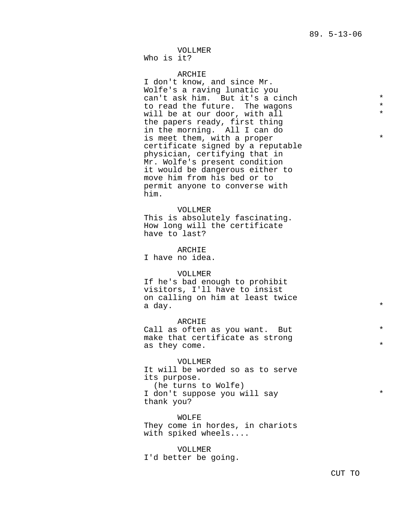# VOLLMER

Who is it?

## ARCHIE

I don't know, and since Mr. Wolfe's a raving lunatic you can't ask him. But it's a cinch  $*$ <br>to read the future the wagons  $*$ to read the future. The wagons  $\star$ <br>will be at our door with all  $\star$ will be at our door, with all \* the papers ready, first thing in the morning. All I can do is meet them, with a proper  $*$ certificate signed by a reputable physician, certifying that in Mr. Wolfe's present condition it would be dangerous either to move him from his bed or to permit anyone to converse with him.

#### VOLLMER

This is absolutely fascinating. How long will the certificate have to last?

ARCHIE

I have no idea.

## VOLLMER

If he's bad enough to prohibit visitors, I'll have to insist on calling on him at least twice a day.  $\star$ 

ARCHIE Call as often as you want. But make that certificate as strong as they come.  $*$ 

VOLLMER It will be worded so as to serve its purpose. (he turns to Wolfe) I don't suppose you will say  $*$ thank you?

WOLFE They come in hordes, in chariots with spiked wheels....

VOLLMER I'd better be going.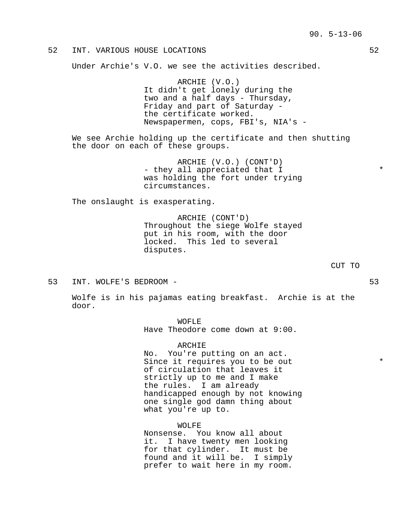## 52 INT. VARIOUS HOUSE LOCATIONS 52

Under Archie's V.O. we see the activities described.

ARCHIE (V.O.) It didn't get lonely during the two and a half days - Thursday, Friday and part of Saturday the certificate worked. Newspapermen, cops, FBI's, NIA's -

We see Archie holding up the certificate and then shutting the door on each of these groups.

> ARCHIE (V.O.) (CONT'D) - they all appreciated that I  $*$ was holding the fort under trying circumstances.

The onslaught is exasperating.

ARCHIE (CONT'D) Throughout the siege Wolfe stayed put in his room, with the door locked. This led to several disputes.

- CUT TO
- 53 INT. WOLFE'S BEDROOM 53

Wolfe is in his pajamas eating breakfast. Archie is at the door.

| WOFLE                            |  |  |
|----------------------------------|--|--|
| Have Theodore come down at 9:00. |  |  |

ARCHIE No. You're putting on an act. Since it requires you to be out  $*$ of circulation that leaves it strictly up to me and I make the rules. I am already handicapped enough by not knowing one single god damn thing about what you're up to.

WOLFE

Nonsense. You know all about it. I have twenty men looking for that cylinder. It must be found and it will be. I simply prefer to wait here in my room.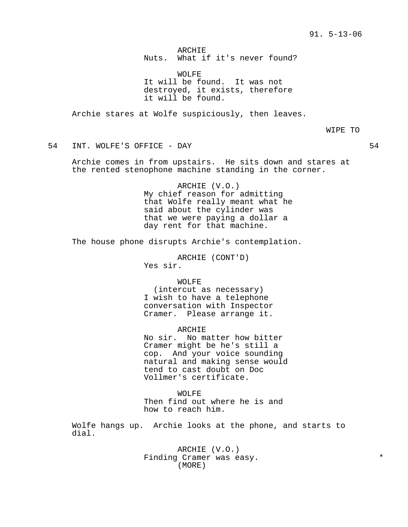ARCHIE Nuts. What if it's never found?

WOLFE It will be found. It was not destroyed, it exists, therefore it will be found.

Archie stares at Wolfe suspiciously, then leaves.

WIPE TO

54 INT. WOLFE'S OFFICE - DAY 54

Archie comes in from upstairs. He sits down and stares at the rented stenophone machine standing in the corner.

> ARCHIE (V.O.) My chief reason for admitting that Wolfe really meant what he said about the cylinder was that we were paying a dollar a day rent for that machine.

The house phone disrupts Archie's contemplation.

ARCHIE (CONT'D) Yes sir.

WOLFE

(intercut as necessary) I wish to have a telephone conversation with Inspector Cramer. Please arrange it.

ARCHIE No sir. No matter how bitter Cramer might be he's still a cop. And your voice sounding natural and making sense would tend to cast doubt on Doc Vollmer's certificate.

WOLFE Then find out where he is and how to reach him.

Wolfe hangs up. Archie looks at the phone, and starts to dial.

> ARCHIE (V.O.) Finding Cramer was easy. (MORE)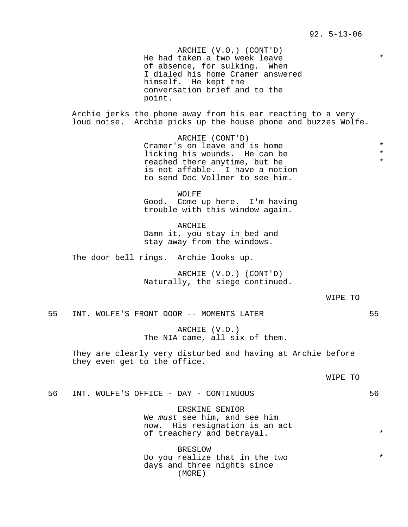ARCHIE (V.O.) (CONT'D) He had taken a two week leave \* of absence, for sulking. When I dialed his home Cramer answered himself. He kept the conversation brief and to the point.

Archie jerks the phone away from his ear reacting to a very loud noise. Archie picks up the house phone and buzzes Wolfe.

> ARCHIE (CONT'D) Cramer's on leave and is home  $*$ <br>licking his wounds He can be  $*$ licking his wounds. He can be \* reached there anytime, but he \* is not affable. I have a notion to send Doc Vollmer to see him.

WOLFE Good. Come up here. I'm having trouble with this window again.

ARCHIE Damn it, you stay in bed and stay away from the windows.

The door bell rings. Archie looks up.

ARCHIE (V.O.) (CONT'D) Naturally, the siege continued.

WIPE TO

55 INT. WOLFE'S FRONT DOOR -- MOMENTS LATER 55

ARCHIE (V.O.) The NIA came, all six of them.

They are clearly very disturbed and having at Archie before they even get to the office.

WIPE TO

56 INT. WOLFE'S OFFICE - DAY - CONTINUOUS 56

ERSKINE SENIOR We must see him, and see him now. His resignation is an act of treachery and betrayal.  $*$ 

BRESLOW Do you realize that in the two  $*$ days and three nights since (MORE)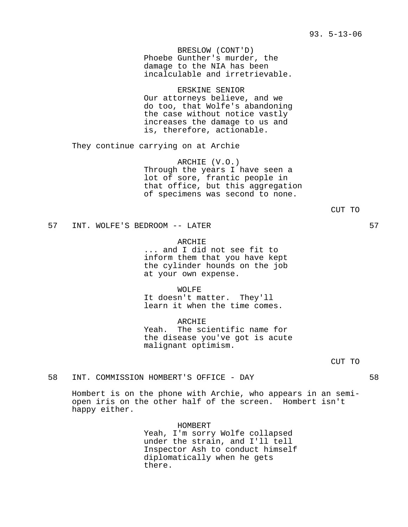BRESLOW (CONT'D) Phoebe Gunther's murder, the damage to the NIA has been incalculable and irretrievable.

ERSKINE SENIOR Our attorneys believe, and we do too, that Wolfe's abandoning the case without notice vastly increases the damage to us and is, therefore, actionable.

They continue carrying on at Archie

ARCHIE (V.O.) Through the years I have seen a lot of sore, frantic people in that office, but this aggregation of specimens was second to none.

CUT TO

57 INT. WOLFE'S BEDROOM -- LATER 57

ARCHIE ... and I did not see fit to inform them that you have kept the cylinder hounds on the job at your own expense.

WOLFE It doesn't matter. They'll learn it when the time comes.

ARCHIE Yeah. The scientific name for the disease you've got is acute malignant optimism.

CUT TO

58 INT. COMMISSION HOMBERT'S OFFICE - DAY 58

Hombert is on the phone with Archie, who appears in an semiopen iris on the other half of the screen. Hombert isn't happy either.

> HOMBERT Yeah, I'm sorry Wolfe collapsed under the strain, and I'll tell Inspector Ash to conduct himself diplomatically when he gets there.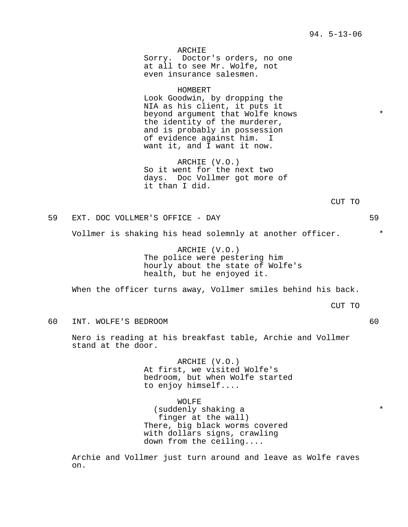ARCHIE Sorry. Doctor's orders, no one at all to see Mr. Wolfe, not even insurance salesmen.

HOMBERT

Look Goodwin, by dropping the NIA as his client, it puts it beyond argument that Wolfe knows \*\* the identity of the murderer, and is probably in possession of evidence against him. I want it, and I want it now.

ARCHIE (V.O.) So it went for the next two days. Doc Vollmer got more of it than I did.

CUT TO

59 EXT. DOC VOLLMER'S OFFICE - DAY 59

Vollmer is shaking his head solemnly at another officer.  $*$ 

ARCHIE (V.O.) The police were pestering him hourly about the state of Wolfe's health, but he enjoyed it.

When the officer turns away, Vollmer smiles behind his back.

CUT TO

60 INT. WOLFE'S BEDROOM 60

Nero is reading at his breakfast table, Archie and Vollmer stand at the door.

> ARCHIE (V.O.) At first, we visited Wolfe's bedroom, but when Wolfe started to enjoy himself....

WOLFE (suddenly shaking a  $*$ finger at the wall) There, big black worms covered with dollars signs, crawling down from the ceiling....

Archie and Vollmer just turn around and leave as Wolfe raves on.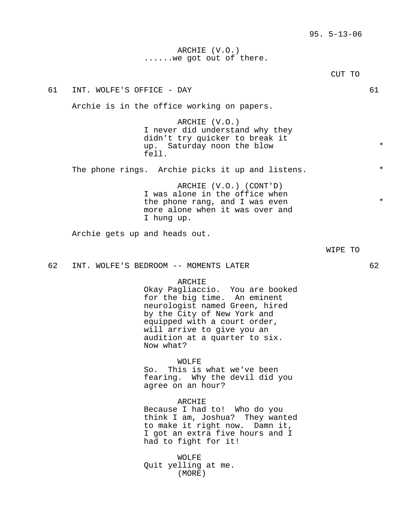## ARCHIE (V.O.) ......we got out of there.

CUT TO 61 INT. WOLFE'S OFFICE - DAY 61 Archie is in the office working on papers. ARCHIE (V.O.) I never did understand why they didn't try quicker to break it up. Saturday noon the blow  $*$ fell. The phone rings. Archie picks it up and listens. \* ARCHIE (V.O.) (CONT'D) I was alone in the office when the phone rang, and I was even  $*$ more alone when it was over and I hung up. Archie gets up and heads out. WIPE TO 62 INT. WOLFE'S BEDROOM -- MOMENTS LATER 62 ARCHIE Okay Pagliaccio. You are booked for the big time. An eminent neurologist named Green, hired by the City of New York and equipped with a court order, will arrive to give you an audition at a quarter to six. Now what? WOLFE So. This is what we've been fearing. Why the devil did you agree on an hour? ARCHIE Because I had to! Who do you think I am, Joshua? They wanted to make it right now. Damn it, I got an extra five hours and I had to fight for it!

> WOLFE Quit yelling at me. (MORE)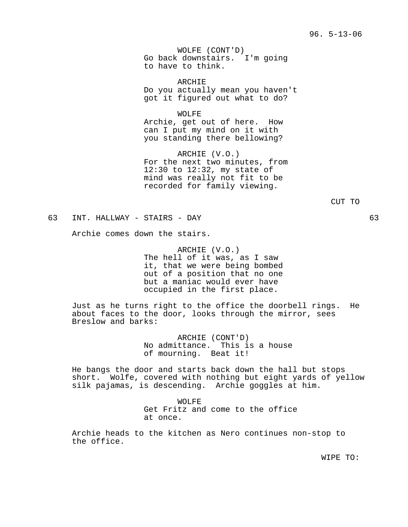WOLFE (CONT'D) Go back downstairs. I'm going to have to think.

ARCHIE Do you actually mean you haven't got it figured out what to do?

WOLFE Archie, get out of here. How can I put my mind on it with you standing there bellowing?

ARCHIE (V.O.) For the next two minutes, from 12:30 to 12:32, my state of mind was really not fit to be recorded for family viewing.

63 INT. HALLWAY - STAIRS - DAY 63

Archie comes down the stairs.

ARCHIE (V.O.) The hell of it was, as I saw it, that we were being bombed out of a position that no one but a maniac would ever have occupied in the first place.

Just as he turns right to the office the doorbell rings. He about faces to the door, looks through the mirror, sees Breslow and barks:

> ARCHIE (CONT'D) No admittance. This is a house of mourning. Beat it!

He bangs the door and starts back down the hall but stops short. Wolfe, covered with nothing but eight yards of yellow silk pajamas, is descending. Archie goggles at him.

> WOLFE Get Fritz and come to the office at once.

Archie heads to the kitchen as Nero continues non-stop to the office.

WIPE TO: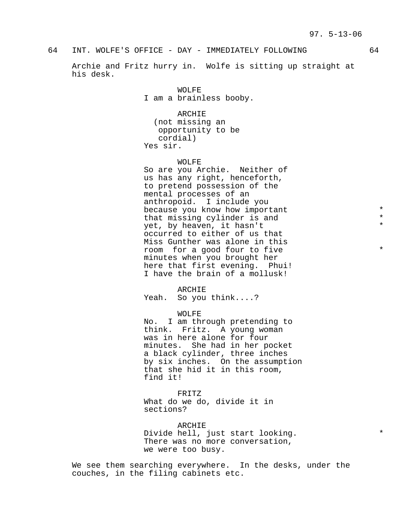## 64 INT. WOLFE'S OFFICE - DAY - IMMEDIATELY FOLLOWING 64

Archie and Fritz hurry in. Wolfe is sitting up straight at his desk.

> WOLFE I am a brainless booby.

ARCHIE (not missing an opportunity to be cordial) Yes sir.

WOLFE

So are you Archie. Neither of us has any right, henceforth, to pretend possession of the mental processes of an anthropoid. I include you because you know how important \* that missing cylinder is and  $*$ yet, by heaven, it hasn't  $*$ occurred to either of us that Miss Gunther was alone in this room for a good four to five  $*$ minutes when you brought her here that first evening. Phui! I have the brain of a mollusk!

ARCHIE Yeah. So you think....?

WOLFE

No. I am through pretending to think. Fritz. A young woman was in here alone for four minutes. She had in her pocket a black cylinder, three inches by six inches. On the assumption that she hid it in this room, find it!

FRITZ What do we do, divide it in sections?

ARCHIE Divide hell, just start looking.  $*$ There was no more conversation, we were too busy.

We see them searching everywhere. In the desks, under the couches, in the filing cabinets etc.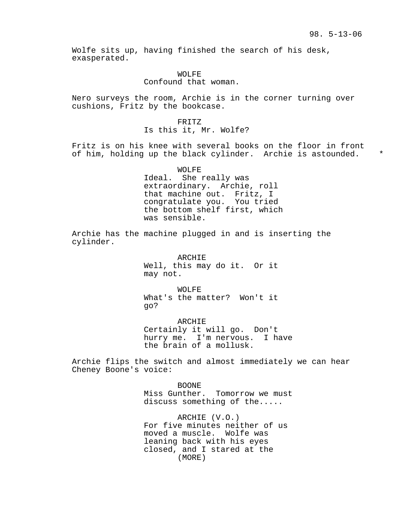Wolfe sits up, having finished the search of his desk, exasperated.

WOLFE

## Confound that woman.

Nero surveys the room, Archie is in the corner turning over cushions, Fritz by the bookcase.

> FRITZ Is this it, Mr. Wolfe?

Fritz is on his knee with several books on the floor in front of him, holding up the black cylinder. Archie is astounded. \*

> WOLFE Ideal. She really was extraordinary. Archie, roll that machine out. Fritz, I congratulate you. You tried the bottom shelf first, which was sensible.

Archie has the machine plugged in and is inserting the cylinder.

> ARCHIE Well, this may do it. Or it may not.

> WOLFE What's the matter? Won't it go?

ARCHIE Certainly it will go. Don't hurry me. I'm nervous. I have the brain of a mollusk.

Archie flips the switch and almost immediately we can hear Cheney Boone's voice:

> BOONE Miss Gunther. Tomorrow we must discuss something of the.....

ARCHIE (V.O.) For five minutes neither of us moved a muscle. Wolfe was leaning back with his eyes closed, and I stared at the (MORE)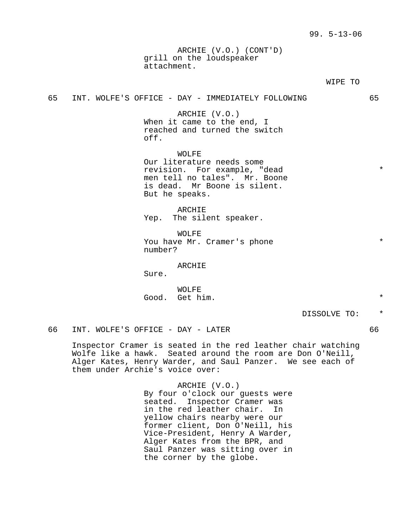ARCHIE (V.O.) (CONT'D) grill on the loudspeaker attachment.

#### WIPE TO

65 INT. WOLFE'S OFFICE - DAY - IMMEDIATELY FOLLOWING 65

ARCHIE (V.O.) When it came to the end, I reached and turned the switch off.

WOLFE Our literature needs some revision. For example, "dead \* men tell no tales". Mr. Boone is dead. Mr Boone is silent. But he speaks.

ARCHIE Yep. The silent speaker.

WOLFE You have Mr. Cramer's phone number?

ARCHIE

Sure.

WOLFE Good. Get him. \*

DISSOLVE TO: \*

66 INT. WOLFE'S OFFICE - DAY - LATER 66

Inspector Cramer is seated in the red leather chair watching Wolfe like a hawk. Seated around the room are Don O'Neill, Alger Kates, Henry Warder, and Saul Panzer. We see each of them under Archie's voice over:

> ARCHIE (V.O.) By four o'clock our guests were seated. Inspector Cramer was in the red leather chair. In yellow chairs nearby were our former client, Don O'Neill, his Vice-President, Henry A Warder, Alger Kates from the BPR, and Saul Panzer was sitting over in the corner by the globe.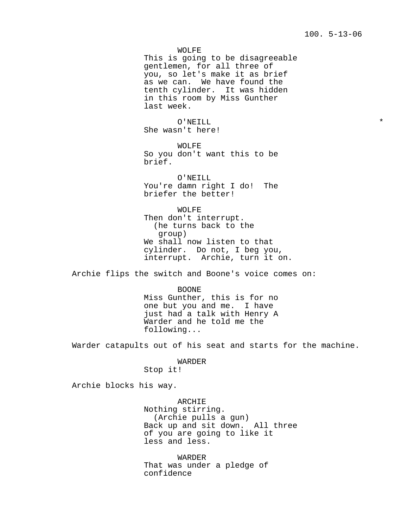WOLFE

This is going to be disagreeable gentlemen, for all three of you, so let's make it as brief as we can. We have found the tenth cylinder. It was hidden in this room by Miss Gunther last week.

O'NEILL \* She wasn't here!

WOLFE So you don't want this to be brief.

O'NEILL You're damn right I do! The briefer the better!

WOLFE Then don't interrupt. (he turns back to the group) We shall now listen to that cylinder. Do not, I beg you, interrupt. Archie, turn it on.

Archie flips the switch and Boone's voice comes on:

BOONE Miss Gunther, this is for no one but you and me. I have just had a talk with Henry A Warder and he told me the following...

Warder catapults out of his seat and starts for the machine.

WARDER Stop it!

Archie blocks his way.

ARCHIE Nothing stirring. (Archie pulls a gun) Back up and sit down. All three of you are going to like it less and less.

WARDER That was under a pledge of confidence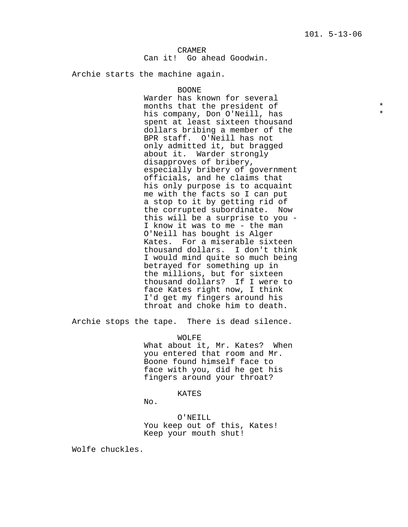Can it! Go ahead Goodwin.

Archie starts the machine again.

#### BOONE

Warder has known for several months that the president of  $\star$ <br>his company. Don O'Noill, has his company, Don O'Neill, has \* spent at least sixteen thousand dollars bribing a member of the BPR staff. O'Neill has not only admitted it, but bragged about it. Warder strongly disapproves of bribery, especially bribery of government officials, and he claims that his only purpose is to acquaint me with the facts so I can put a stop to it by getting rid of the corrupted subordinate. Now this will be a surprise to you - I know it was to me - the man O'Neill has bought is Alger Kates. For a miserable sixteen thousand dollars. I don't think I would mind quite so much being betrayed for something up in the millions, but for sixteen thousand dollars? If I were to face Kates right now, I think I'd get my fingers around his throat and choke him to death.

Archie stops the tape. There is dead silence.

WOLFE

What about it, Mr. Kates? When you entered that room and Mr. Boone found himself face to face with you, did he get his fingers around your throat?

KATES

No.

O'NEILL You keep out of this, Kates! Keep your mouth shut!

Wolfe chuckles.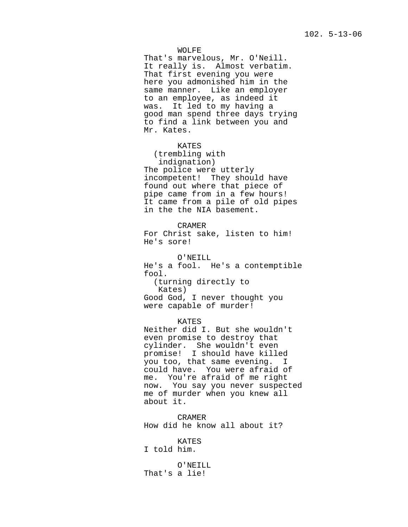WOLFE

That's marvelous, Mr. O'Neill. It really is. Almost verbatim. That first evening you were here you admonished him in the same manner. Like an employer to an employee, as indeed it was. It led to my having a good man spend three days trying to find a link between you and Mr. Kates.

KATES (trembling with indignation) The police were utterly incompetent! They should have found out where that piece of pipe came from in a few hours! It came from a pile of old pipes in the the NIA basement.

CRAMER For Christ sake, listen to him! He's sore!

O'NEILL He's a fool. He's a contemptible fool. (turning directly to Kates) Good God, I never thought you were capable of murder!

KATES Neither did I. But she wouldn't even promise to destroy that cylinder. She wouldn't even promise! I should have killed you too, that same evening. I could have. You were afraid of me. You're afraid of me right now. You say you never suspected me of murder when you knew all about it.

CRAMER How did he know all about it?

KATES I told him.

O'NEILL That's a lie!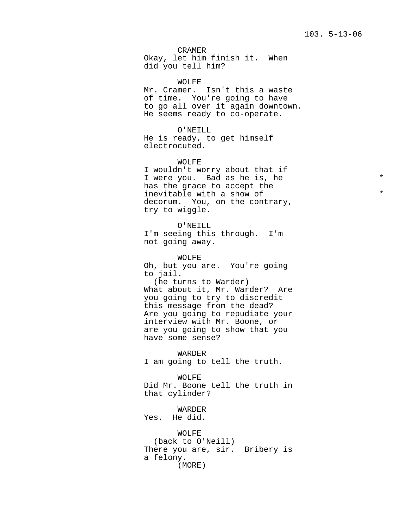CRAMER Okay, let him finish it. When did you tell him?

WOLFE Mr. Cramer. Isn't this a waste of time. You're going to have to go all over it again downtown. He seems ready to co-operate.

O'NEILL He is ready, to get himself electrocuted.

WOLFE

I wouldn't worry about that if I were you. Bad as he is, he  $*$ has the grace to accept the inevitable with a show of  $*$ decorum. You, on the contrary, try to wiggle.

O'NEILL I'm seeing this through. I'm not going away.

WOLFE Oh, but you are. You're going to jail. (he turns to Warder) What about it, Mr. Warder? Are you going to try to discredit this message from the dead? Are you going to repudiate your interview with Mr. Boone, or are you going to show that you have some sense?

WARDER I am going to tell the truth.

WOLFE Did Mr. Boone tell the truth in that cylinder?

WARDER Yes. He did.

WOLFE (back to O'Neill) There you are, sir. Bribery is a felony. (MORE)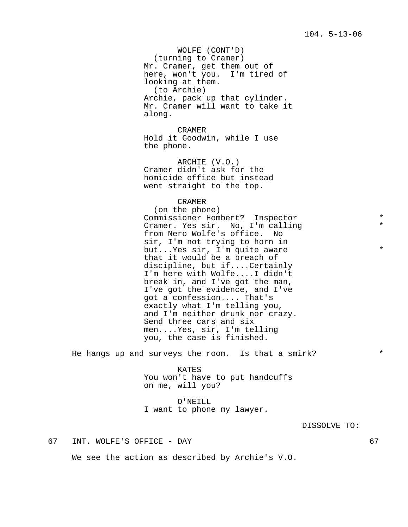WOLFE (CONT'D) (turning to Cramer) Mr. Cramer, get them out of here, won't you. I'm tired of looking at them. (to Archie) Archie, pack up that cylinder. Mr. Cramer will want to take it along.

CRAMER Hold it Goodwin, while I use the phone.

ARCHIE (V.O.) Cramer didn't ask for the homicide office but instead went straight to the top.

CRAMER

(on the phone) Commissioner Hombert? Inspector \* Cramer. Yes sir. No, I'm calling \* from Nero Wolfe's office. No sir, I'm not trying to horn in but...Yes sir, I'm quite aware \*\* that it would be a breach of discipline, but if....Certainly I'm here with Wolfe....I didn't break in, and I've got the man, I've got the evidence, and I've got a confession.... That's exactly what I'm telling you, and I'm neither drunk nor crazy. Send three cars and six men....Yes, sir, I'm telling you, the case is finished.

He hangs up and surveys the room. Is that a smirk? \*

KATES You won't have to put handcuffs on me, will you?

O'NEILL I want to phone my lawyer.

DISSOLVE TO:

67 INT. WOLFE'S OFFICE - DAY 67

We see the action as described by Archie's V.O.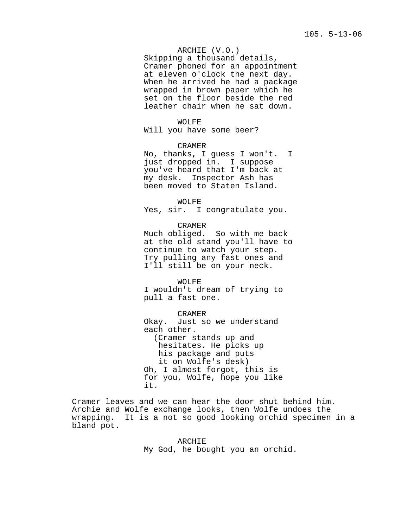## ARCHIE (V.O.)

Skipping a thousand details, Cramer phoned for an appointment at eleven o'clock the next day. When he arrived he had a package wrapped in brown paper which he set on the floor beside the red leather chair when he sat down.

#### WOLFE

Will you have some beer?

## CRAMER

No, thanks, I guess I won't. I just dropped in. I suppose you've heard that I'm back at my desk. Inspector Ash has been moved to Staten Island.

#### WOLFE

Yes, sir. I congratulate you.

CRAMER Much obliged. So with me back at the old stand you'll have to continue to watch your step. Try pulling any fast ones and I'll still be on your neck.

WOLFE I wouldn't dream of trying to pull a fast one.

CRAMER Okay. Just so we understand each other. (Cramer stands up and hesitates. He picks up his package and puts it on Wolfe's desk) Oh, I almost forgot, this is for you, Wolfe, hope you like it.

Cramer leaves and we can hear the door shut behind him. Archie and Wolfe exchange looks, then Wolfe undoes the wrapping. It is a not so good looking orchid specimen in a bland pot.

> ARCHIE My God, he bought you an orchid.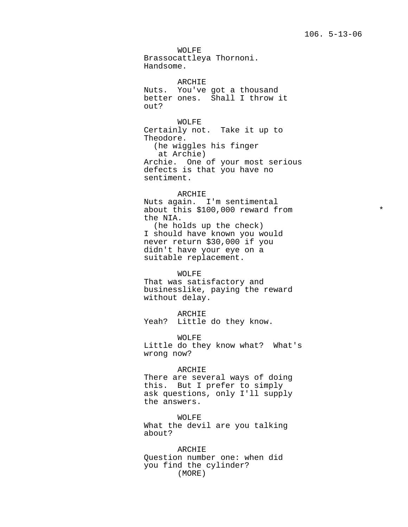WOLFE Brassocattleya Thornoni. Handsome.

ARCHIE Nuts. You've got a thousand better ones. Shall I throw it out?

WOLFE Certainly not. Take it up to Theodore. (he wiggles his finger at Archie) Archie. One of your most serious defects is that you have no sentiment.

## ARCHIE

Nuts again. I'm sentimental about this \$100,000 reward from  $*$ the NIA. (he holds up the check) I should have known you would never return \$30,000 if you didn't have your eye on a suitable replacement.

#### WOLFE

That was satisfactory and businesslike, paying the reward without delay.

ARCHIE Yeah? Little do they know.

WOLFE Little do they know what? What's wrong now?

## ARCHIE

There are several ways of doing this. But I prefer to simply ask questions, only I'll supply the answers.

WOLFE What the devil are you talking about?

ARCHIE Question number one: when did you find the cylinder? (MORE)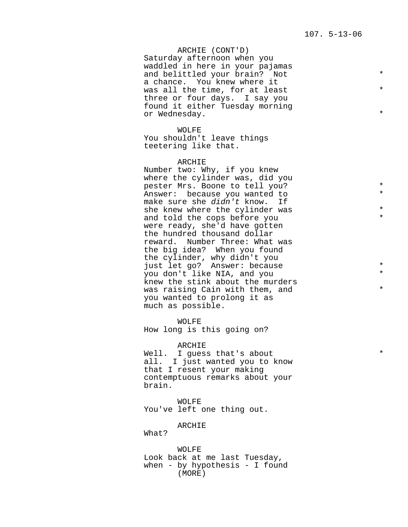ARCHIE (CONT'D) Saturday afternoon when you waddled in here in your pajamas and belittled your brain? Not \* a chance. You knew where it was all the time, for at least  $*$ three or four days. I say you found it either Tuesday morning or Wednesday. \*

WOLFE You shouldn't leave things teetering like that.

## ARCHIE

Number two: Why, if you knew where the cylinder was, did you pester Mrs. Boone to tell you? \* Answer: because you wanted to \* make sure she didn't know. If she knew where the cylinder was and told the cops before you  $*$ were ready, she'd have gotten the hundred thousand dollar reward. Number Three: What was the big idea? When you found the cylinder, why didn't you just let go? Answer: because you don't like NIA, and you \* knew the stink about the murders was raising Cain with them, and  $*$ you wanted to prolong it as much as possible.

WOLFE How long is this going on?

ARCHIE Well. I guess that's about all. I just wanted you to know that I resent your making contemptuous remarks about your brain.

WOLFE You've left one thing out.

ARCHIE

What?

WOLFE Look back at me last Tuesday, when - by hypothesis - I found (MORE)